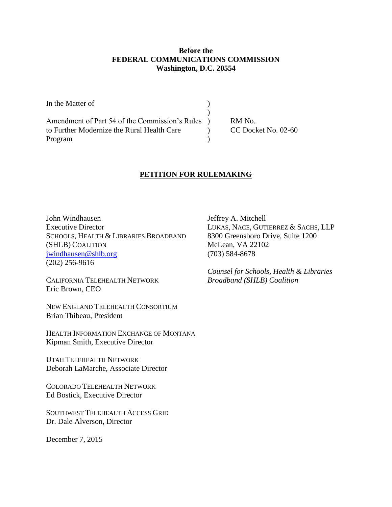### **Before the FEDERAL COMMUNICATIONS COMMISSION Washington, D.C. 20554**

| In the Matter of                                 |                     |
|--------------------------------------------------|---------------------|
|                                                  |                     |
| Amendment of Part 54 of the Commission's Rules ) | RM No.              |
| to Further Modernize the Rural Health Care       | CC Docket No. 02-60 |
| Program                                          |                     |

# **PETITION FOR RULEMAKING**

John Windhausen Jeffrey A. Mitchell Executive Director LUKAS, NACE, GUTIERREZ & SACHS, LLP SCHOOLS, HEALTH & LIBRARIES BROADBAND 8300 Greensboro Drive, Suite 1200 (SHLB) COALITION McLean, VA 22102 [jwindhausen@shlb.org](mailto:jwindhausen@shlb.org) (703) 584-8678 (202) 256-9616

CALIFORNIA TELEHEALTH NETWORK *Broadband (SHLB) Coalition*  Eric Brown, CEO

NEW ENGLAND TELEHEALTH CONSORTIUM Brian Thibeau, President

HEALTH INFORMATION EXCHANGE OF MONTANA Kipman Smith, Executive Director

UTAH TELEHEALTH NETWORK Deborah LaMarche, Associate Director

COLORADO TELEHEALTH NETWORK Ed Bostick, Executive Director

SOUTHWEST TELEHEALTH ACCESS GRID Dr. Dale Alverson, Director

December 7, 2015

*Counsel for Schools, Health & Libraries*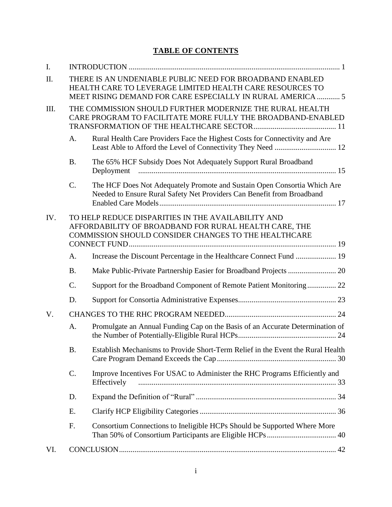# **TABLE OF CONTENTS**

| Ι.   |           |                                                                                                                                                                                    |  |
|------|-----------|------------------------------------------------------------------------------------------------------------------------------------------------------------------------------------|--|
| II.  |           | THERE IS AN UNDENIABLE PUBLIC NEED FOR BROADBAND ENABLED<br>HEALTH CARE TO LEVERAGE LIMITED HEALTH CARE RESOURCES TO<br>MEET RISING DEMAND FOR CARE ESPECIALLY IN RURAL AMERICA  5 |  |
| III. |           | THE COMMISSION SHOULD FURTHER MODERNIZE THE RURAL HEALTH<br>CARE PROGRAM TO FACILITATE MORE FULLY THE BROADBAND-ENABLED                                                            |  |
|      | A.        | Rural Health Care Providers Face the Highest Costs for Connectivity and Are                                                                                                        |  |
|      | <b>B.</b> | The 65% HCF Subsidy Does Not Adequately Support Rural Broadband                                                                                                                    |  |
|      | C.        | The HCF Does Not Adequately Promote and Sustain Open Consortia Which Are<br>Needed to Ensure Rural Safety Net Providers Can Benefit from Broadband                                 |  |
| IV.  |           | TO HELP REDUCE DISPARITIES IN THE AVAILABILITY AND<br>AFFORDABILITY OF BROADBAND FOR RURAL HEALTH CARE, THE<br>COMMISSION SHOULD CONSIDER CHANGES TO THE HEALTHCARE                |  |
|      | A.        | Increase the Discount Percentage in the Healthcare Connect Fund  19                                                                                                                |  |
|      | <b>B.</b> |                                                                                                                                                                                    |  |
|      | C.        | Support for the Broadband Component of Remote Patient Monitoring 22                                                                                                                |  |
|      | D.        |                                                                                                                                                                                    |  |
| V.   |           |                                                                                                                                                                                    |  |
|      | A.        | Promulgate an Annual Funding Cap on the Basis of an Accurate Determination of                                                                                                      |  |
|      | <b>B.</b> | Establish Mechanisms to Provide Short-Term Relief in the Event the Rural Health                                                                                                    |  |
|      | C.        | Improve Incentives For USAC to Administer the RHC Programs Efficiently and<br>Effectively                                                                                          |  |
|      | D.        |                                                                                                                                                                                    |  |
|      | Ε.        |                                                                                                                                                                                    |  |
|      | F.        | Consortium Connections to Ineligible HCPs Should be Supported Where More                                                                                                           |  |
| VI.  |           |                                                                                                                                                                                    |  |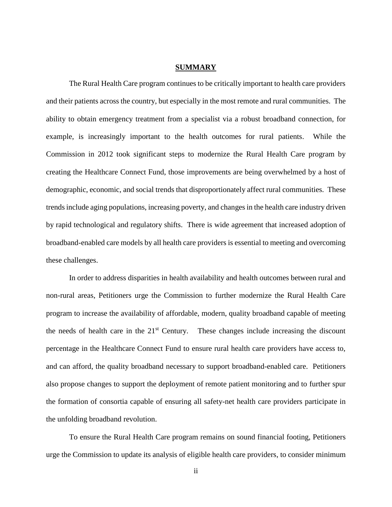#### **SUMMARY**

The Rural Health Care program continues to be critically important to health care providers and their patients across the country, but especially in the most remote and rural communities. The ability to obtain emergency treatment from a specialist via a robust broadband connection, for example, is increasingly important to the health outcomes for rural patients. While the Commission in 2012 took significant steps to modernize the Rural Health Care program by creating the Healthcare Connect Fund, those improvements are being overwhelmed by a host of demographic, economic, and social trends that disproportionately affect rural communities. These trends include aging populations, increasing poverty, and changes in the health care industry driven by rapid technological and regulatory shifts. There is wide agreement that increased adoption of broadband-enabled care models by all health care providers is essential to meeting and overcoming these challenges.

In order to address disparities in health availability and health outcomes between rural and non-rural areas, Petitioners urge the Commission to further modernize the Rural Health Care program to increase the availability of affordable, modern, quality broadband capable of meeting the needs of health care in the  $21<sup>st</sup>$  Century. These changes include increasing the discount percentage in the Healthcare Connect Fund to ensure rural health care providers have access to, and can afford, the quality broadband necessary to support broadband-enabled care. Petitioners also propose changes to support the deployment of remote patient monitoring and to further spur the formation of consortia capable of ensuring all safety-net health care providers participate in the unfolding broadband revolution.

To ensure the Rural Health Care program remains on sound financial footing, Petitioners urge the Commission to update its analysis of eligible health care providers, to consider minimum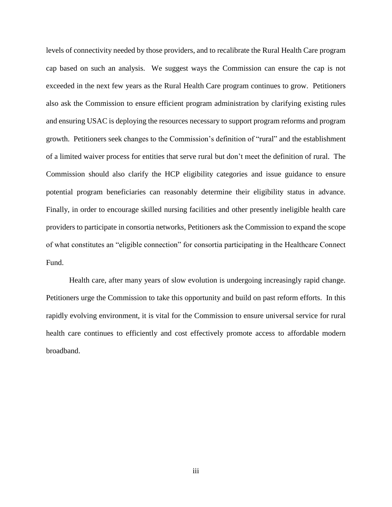levels of connectivity needed by those providers, and to recalibrate the Rural Health Care program cap based on such an analysis. We suggest ways the Commission can ensure the cap is not exceeded in the next few years as the Rural Health Care program continues to grow. Petitioners also ask the Commission to ensure efficient program administration by clarifying existing rules and ensuring USAC is deploying the resources necessary to support program reforms and program growth. Petitioners seek changes to the Commission's definition of "rural" and the establishment of a limited waiver process for entities that serve rural but don't meet the definition of rural. The Commission should also clarify the HCP eligibility categories and issue guidance to ensure potential program beneficiaries can reasonably determine their eligibility status in advance. Finally, in order to encourage skilled nursing facilities and other presently ineligible health care providers to participate in consortia networks, Petitioners ask the Commission to expand the scope of what constitutes an "eligible connection" for consortia participating in the Healthcare Connect Fund.

Health care, after many years of slow evolution is undergoing increasingly rapid change. Petitioners urge the Commission to take this opportunity and build on past reform efforts. In this rapidly evolving environment, it is vital for the Commission to ensure universal service for rural health care continues to efficiently and cost effectively promote access to affordable modern broadband.

iii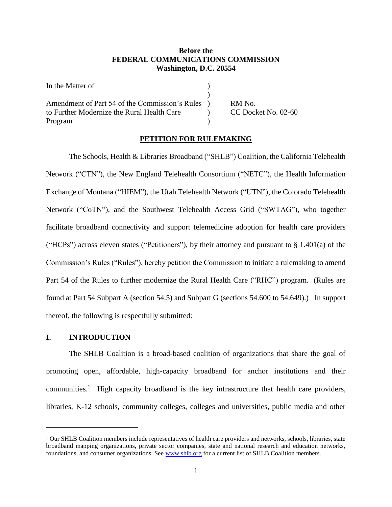### **Before the FEDERAL COMMUNICATIONS COMMISSION Washington, D.C. 20554**

| In the Matter of                               |        |
|------------------------------------------------|--------|
|                                                |        |
| Amendment of Part 54 of the Commission's Rules | RM No. |
| to Further Modernize the Rural Health Care     | CC Doc |
| Program                                        |        |

 $b$ ocket No. 02-60

# **PETITION FOR RULEMAKING**

The Schools, Health & Libraries Broadband ("SHLB") Coalition, the California Telehealth Network ("CTN"), the New England Telehealth Consortium ("NETC"), the Health Information Exchange of Montana ("HIEM"), the Utah Telehealth Network ("UTN"), the Colorado Telehealth Network ("CoTN"), and the Southwest Telehealth Access Grid ("SWTAG"), who together facilitate broadband connectivity and support telemedicine adoption for health care providers ("HCPs") across eleven states ("Petitioners"), by their attorney and pursuant to  $\S 1.401(a)$  of the Commission's Rules ("Rules"), hereby petition the Commission to initiate a rulemaking to amend Part 54 of the Rules to further modernize the Rural Health Care ("RHC") program. (Rules are found at Part 54 Subpart A (section 54.5) and Subpart G (sections 54.600 to 54.649).) In support thereof, the following is respectfully submitted:

### <span id="page-4-0"></span>**I. INTRODUCTION**

 $\overline{a}$ 

The SHLB Coalition is a broad-based coalition of organizations that share the goal of promoting open, affordable, high-capacity broadband for anchor institutions and their communities.<sup>1</sup> High capacity broadband is the key infrastructure that health care providers, libraries, K-12 schools, community colleges, colleges and universities, public media and other

 $1$  Our SHLB Coalition members include representatives of health care providers and networks, schools, libraries, state broadband mapping organizations, private sector companies, state and national research and education networks, foundations, and consumer organizations. See [www.shlb.org](http://www.shlb.org/) for a current list of SHLB Coalition members.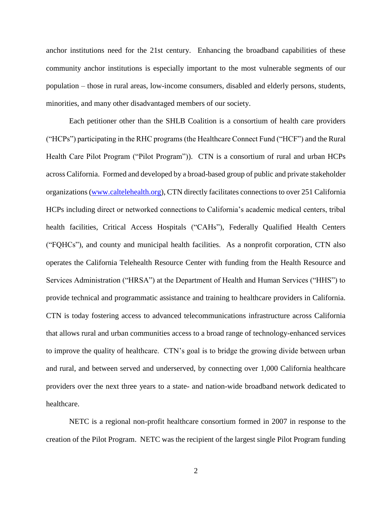anchor institutions need for the 21st century. Enhancing the broadband capabilities of these community anchor institutions is especially important to the most vulnerable segments of our population – those in rural areas, low-income consumers, disabled and elderly persons, students, minorities, and many other disadvantaged members of our society.

Each petitioner other than the SHLB Coalition is a consortium of health care providers ("HCPs") participating in the RHC programs (the Healthcare Connect Fund ("HCF") and the Rural Health Care Pilot Program ("Pilot Program")). CTN is a consortium of rural and urban HCPs across California. Formed and developed by a broad-based group of public and private stakeholder organizations [\(www.caltelehealth.org\)](http://www.caltelehealth.org/), CTN directly facilitates connections to over 251 California HCPs including direct or networked connections to California's academic medical centers, tribal health facilities, Critical Access Hospitals ("CAHs"), Federally Qualified Health Centers ("FQHCs"), and county and municipal health facilities. As a nonprofit corporation, CTN also operates the California Telehealth Resource Center with funding from the Health Resource and Services Administration ("HRSA") at the Department of Health and Human Services ("HHS") to provide technical and programmatic assistance and training to healthcare providers in California. CTN is today fostering access to advanced telecommunications infrastructure across California that allows rural and urban communities access to a broad range of technology-enhanced services to improve the quality of healthcare. CTN's goal is to bridge the growing divide between urban and rural, and between served and underserved, by connecting over 1,000 California healthcare providers over the next three years to a state- and nation-wide broadband network dedicated to healthcare.

NETC is a regional non-profit healthcare consortium formed in 2007 in response to the creation of the Pilot Program. NETC was the recipient of the largest single Pilot Program funding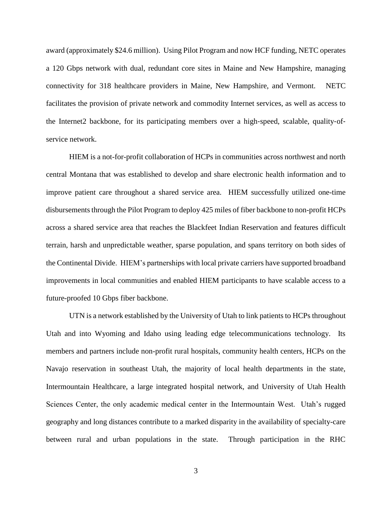award (approximately \$24.6 million). Using Pilot Program and now HCF funding, NETC operates a 120 Gbps network with dual, redundant core sites in Maine and New Hampshire, managing connectivity for 318 healthcare providers in Maine, New Hampshire, and Vermont. NETC facilitates the provision of private network and commodity Internet services, as well as access to the Internet2 backbone, for its participating members over a high-speed, scalable, quality-ofservice network.

HIEM is a not-for-profit collaboration of HCPs in communities across northwest and north central Montana that was established to develop and share electronic health information and to improve patient care throughout a shared service area. HIEM successfully utilized one-time disbursements through the Pilot Program to deploy 425 miles of fiber backbone to non-profit HCPs across a shared service area that reaches the Blackfeet Indian Reservation and features difficult terrain, harsh and unpredictable weather, sparse population, and spans territory on both sides of the Continental Divide. HIEM's partnerships with local private carriers have supported broadband improvements in local communities and enabled HIEM participants to have scalable access to a future-proofed 10 Gbps fiber backbone.

UTN is a network established by the University of Utah to link patients to HCPs throughout Utah and into Wyoming and Idaho using leading edge telecommunications technology. Its members and partners include non-profit rural hospitals, community health centers, HCPs on the Navajo reservation in southeast Utah, the majority of local health departments in the state, Intermountain Healthcare, a large integrated hospital network, and University of Utah Health Sciences Center, the only academic medical center in the Intermountain West. Utah's rugged geography and long distances contribute to a marked disparity in the availability of specialty-care between rural and urban populations in the state. Through participation in the RHC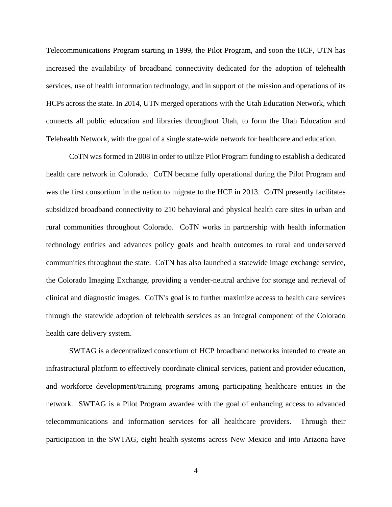Telecommunications Program starting in 1999, the Pilot Program, and soon the HCF, UTN has increased the availability of broadband connectivity dedicated for the adoption of telehealth services, use of health information technology, and in support of the mission and operations of its HCPs across the state. In 2014, UTN merged operations with the Utah Education Network, which connects all public education and libraries throughout Utah, to form the Utah Education and Telehealth Network, with the goal of a single state-wide network for healthcare and education.

CoTN was formed in 2008 in order to utilize Pilot Program funding to establish a dedicated health care network in Colorado. CoTN became fully operational during the Pilot Program and was the first consortium in the nation to migrate to the HCF in 2013. CoTN presently facilitates subsidized broadband connectivity to 210 behavioral and physical health care sites in urban and rural communities throughout Colorado. CoTN works in partnership with health information technology entities and advances policy goals and health outcomes to rural and underserved communities throughout the state. CoTN has also launched a statewide image exchange service, the Colorado Imaging Exchange, providing a vender-neutral archive for storage and retrieval of clinical and diagnostic images. CoTN's goal is to further maximize access to health care services through the statewide adoption of telehealth services as an integral component of the Colorado health care delivery system.

SWTAG is a decentralized consortium of HCP broadband networks intended to create an infrastructural platform to effectively coordinate clinical services, patient and provider education, and workforce development/training programs among participating healthcare entities in the network. SWTAG is a Pilot Program awardee with the goal of enhancing access to advanced telecommunications and information services for all healthcare providers. Through their participation in the SWTAG, eight health systems across New Mexico and into Arizona have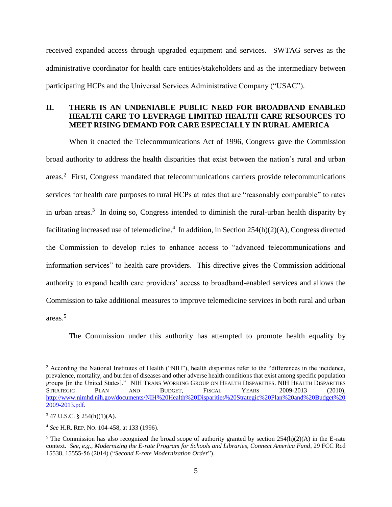received expanded access through upgraded equipment and services. SWTAG serves as the administrative coordinator for health care entities/stakeholders and as the intermediary between participating HCPs and the Universal Services Administrative Company ("USAC").

# <span id="page-8-0"></span>**II. THERE IS AN UNDENIABLE PUBLIC NEED FOR BROADBAND ENABLED HEALTH CARE TO LEVERAGE LIMITED HEALTH CARE RESOURCES TO MEET RISING DEMAND FOR CARE ESPECIALLY IN RURAL AMERICA**

When it enacted the Telecommunications Act of 1996, Congress gave the Commission broad authority to address the health disparities that exist between the nation's rural and urban areas.<sup>2</sup> First, Congress mandated that telecommunications carriers provide telecommunications services for health care purposes to rural HCPs at rates that are "reasonably comparable" to rates in urban areas.<sup>3</sup> In doing so, Congress intended to diminish the rural-urban health disparity by facilitating increased use of telemedicine.<sup>4</sup> In addition, in Section  $254(h)(2)(A)$ , Congress directed the Commission to develop rules to enhance access to "advanced telecommunications and information services" to health care providers. This directive gives the Commission additional authority to expand health care providers' access to broadband-enabled services and allows the Commission to take additional measures to improve telemedicine services in both rural and urban areas.<sup>5</sup>

The Commission under this authority has attempted to promote health equality by

<sup>2</sup> According the National Institutes of Health ("NIH"), health disparities refer to the "differences in the incidence, prevalence, mortality, and burden of diseases and other adverse health conditions that exist among specific population groups [in the United States]." NIH TRANS WORKING GROUP ON HEALTH DISPARITIES. NIH HEALTH DISPARITIES STRATEGIC PLAN AND BUDGET, FISCAL YEARS 2009-2013 (2010), [http://www.nimhd.nih.gov/documents/NIH%20Health%20Disparities%20Strategic%20Plan%20and%20Budget%20](http://www.nimhd.nih.gov/documents/NIH%20Health%20Disparities%20Strategic%20Plan%20and%20Budget%202009-2013.pdf) [2009-2013.pdf.](http://www.nimhd.nih.gov/documents/NIH%20Health%20Disparities%20Strategic%20Plan%20and%20Budget%202009-2013.pdf)

 $3$  47 U.S.C. § 254(h)(1)(A).

<sup>4</sup> *See* H.R. REP. NO. 104-458, at 133 (1996).

<sup>&</sup>lt;sup>5</sup> The Commission has also recognized the broad scope of authority granted by section  $254(h)(2)(A)$  in the E-rate context. *See, e.g., Modernizing the E-rate Program for Schools and Libraries, Connect America Fund*, 29 FCC Rcd 15538, 15555-56 (2014) ("*Second E-rate Modernization Order*").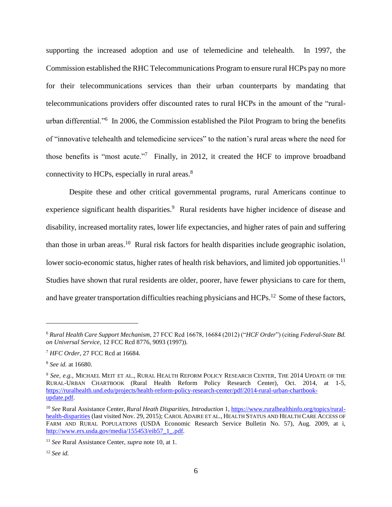supporting the increased adoption and use of telemedicine and telehealth. In 1997, the Commission established the RHC Telecommunications Program to ensure rural HCPs pay no more for their telecommunications services than their urban counterparts by mandating that telecommunications providers offer discounted rates to rural HCPs in the amount of the "ruralurban differential."<sup>6</sup> In 2006, the Commission established the Pilot Program to bring the benefits of "innovative telehealth and telemedicine services" to the nation's rural areas where the need for those benefits is "most acute."<sup>7</sup> Finally, in 2012, it created the HCF to improve broadband connectivity to HCPs, especially in rural areas.<sup>8</sup>

<span id="page-9-0"></span>Despite these and other critical governmental programs, rural Americans continue to experience significant health disparities.<sup>9</sup> Rural residents have higher incidence of disease and disability, increased mortality rates, lower life expectancies, and higher rates of pain and suffering than those in urban areas.<sup>10</sup> Rural risk factors for health disparities include geographic isolation, lower socio-economic status, higher rates of health risk behaviors, and limited job opportunities.<sup>11</sup> Studies have shown that rural residents are older, poorer, have fewer physicians to care for them, and have greater transportation difficulties reaching physicians and HCPs.<sup>12</sup> Some of these factors,

<sup>6</sup> *Rural Health Care Support Mechanism*, 27 FCC Rcd 16678, 16684 (2012) ("*HCF Order*") (citing *Federal-State Bd. on Universal Service*, 12 FCC Rcd 8776, 9093 (1997)).

<sup>7</sup> *HFC Order*, 27 FCC Rcd at 16684.

<sup>8</sup> *See id.* at 16680.

<sup>9</sup> *See, e.g.,* MICHAEL MEIT ET AL., RURAL HEALTH REFORM POLICY RESEARCH CENTER, THE 2014 UPDATE OF THE RURAL-URBAN CHARTBOOK (Rural Health Reform Policy Research Center), Oct. 2014, at 1-5, [https://ruralhealth.und.edu/projects/health-reform-policy-research-center/pdf/2014-rural-urban-chartbook](https://ruralhealth.und.edu/projects/health-reform-policy-research-center/pdf/2014-rural-urban-chartbook-update.pdf)[update.pdf.](https://ruralhealth.und.edu/projects/health-reform-policy-research-center/pdf/2014-rural-urban-chartbook-update.pdf)

<sup>10</sup> *See* Rural Assistance Center, *Rural Heath Disparities, Introduction* 1, [https://www.ruralhealthinfo.org/topics/rural](https://www.ruralhealthinfo.org/topics/rural-health-disparities)[health-disparities](https://www.ruralhealthinfo.org/topics/rural-health-disparities) (last visited Nov. 29, 2015); CAROL ADAIRE ET AL., HEALTH STATUS AND HEALTH CARE ACCESS OF FARM AND RURAL POPULATIONS (USDA Economic Research Service Bulletin No. 57), Aug. 2009, at i, [http://www.ers.usda.gov/media/155453/eib57\\_1\\_.pdf.](http://www.ers.usda.gov/media/155453/eib57_1_.pdf)

<sup>11</sup> *See* Rural Assistance Center, *supra* note 10, at 1.

<sup>12</sup> *See id.*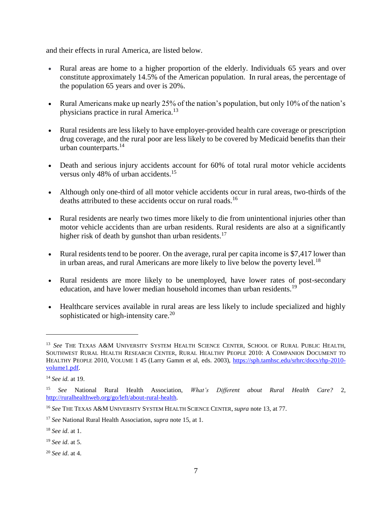and their effects in rural America, are listed below.

- Rural areas are home to a higher proportion of the elderly. Individuals 65 years and over constitute approximately 14.5% of the American population. In rural areas, the percentage of the population 65 years and over is 20%.
- <span id="page-10-0"></span> Rural Americans make up nearly 25% of the nation's population, but only 10% of the nation's physicians practice in rural America.<sup>13</sup>
- Rural residents are less likely to have employer-provided health care coverage or prescription drug coverage, and the rural poor are less likely to be covered by Medicaid benefits than their urban counterparts.<sup>14</sup>
- <span id="page-10-1"></span> Death and serious injury accidents account for 60% of total rural motor vehicle accidents versus only 48% of urban accidents.<sup>15</sup>
- Although only one-third of all motor vehicle accidents occur in rural areas, two-thirds of the deaths attributed to these accidents occur on rural roads.<sup>16</sup>
- Rural residents are nearly two times more likely to die from unintentional injuries other than motor vehicle accidents than are urban residents. Rural residents are also at a significantly higher risk of death by gunshot than urban residents.<sup>17</sup>
- Rural residents tend to be poorer. On the average, rural per capita income is \$7,417 lower than in urban areas, and rural Americans are more likely to live below the poverty level.<sup>18</sup>
- Rural residents are more likely to be unemployed, have lower rates of post-secondary education, and have lower median household incomes than urban residents.<sup>19</sup>
- Healthcare services available in rural areas are less likely to include specialized and highly sophisticated or high-intensity care.<sup>20</sup>

 $\overline{a}$ 

<sup>20</sup> *See id*. at 4.

<sup>&</sup>lt;sup>13</sup> See THE TEXAS A&M UNIVERSITY SYSTEM HEALTH SCIENCE CENTER, SCHOOL OF RURAL PUBLIC HEALTH, SOUTHWEST RURAL HEALTH RESEARCH CENTER, RURAL HEALTHY PEOPLE 2010: A COMPANION DOCUMENT TO HEALTHY PEOPLE 2010, VOLUME 1 45 (Larry Gamm et al, eds. 2003), [https://sph.tamhsc.edu/srhrc/docs/rhp-2010](https://sph.tamhsc.edu/srhrc/docs/rhp-2010-volume1.pdf) [volume1.pdf.](https://sph.tamhsc.edu/srhrc/docs/rhp-2010-volume1.pdf)

<sup>14</sup> *See id.* at 19.

<sup>15</sup> *See* National Rural Health Association, *What's Different about Rural Health Care?* 2, [http://ruralhealthweb.org/go/left/about-rural-health.](http://ruralhealthweb.org/go/left/about-rural-health)

<sup>16</sup> *See* THE TEXAS A&M UNIVERSITY SYSTEM HEALTH SCIENCE CENTER, *supra* note [13,](#page-10-0) at 77.

<sup>17</sup> *See* National Rural Health Association, *supra* note [15,](#page-10-1) at 1.

<sup>18</sup> *See id*. at 1.

<sup>19</sup> *See id*. at 5.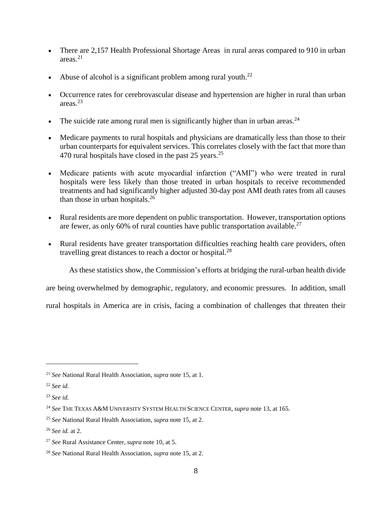- There are 2,157 Health Professional Shortage Areas in rural areas compared to 910 in urban areas. $21$
- Abuse of alcohol is a significant problem among rural youth. $^{22}$
- Occurrence rates for cerebrovascular disease and hypertension are higher in rural than urban areas.<sup>23</sup>
- The suicide rate among rural men is significantly higher than in urban areas.<sup>24</sup>
- Medicare payments to rural hospitals and physicians are dramatically less than those to their urban counterparts for equivalent services. This correlates closely with the fact that more than 470 rural hospitals have closed in the past  $25$  years.<sup>25</sup>
- Medicare patients with acute myocardial infarction ("AMI") who were treated in rural hospitals were less likely than those treated in urban hospitals to receive recommended treatments and had significantly higher adjusted 30-day post AMI death rates from all causes than those in urban hospitals. $^{26}$
- Rural residents are more dependent on public transportation. However, transportation options are fewer, as only 60% of rural counties have public transportation available.<sup>27</sup>
- Rural residents have greater transportation difficulties reaching health care providers, often travelling great distances to reach a doctor or hospital. $^{28}$

As these statistics show, the Commission's efforts at bridging the rural-urban health divide

are being overwhelmed by demographic, regulatory, and economic pressures. In addition, small

rural hospitals in America are in crisis, facing a combination of challenges that threaten their

<sup>21</sup> *See* National Rural Health Association, *supra* note [15,](#page-10-1) at 1.

<sup>22</sup> *See id.*

<sup>23</sup> *See id.*

<sup>24</sup> *See* THE TEXAS A&M UNIVERSITY SYSTEM HEALTH SCIENCE CENTER, *supra* note [13,](#page-10-0) at 165.

<sup>25</sup> *See* National Rural Health Association, *supra* note [15,](#page-10-1) at 2.

<sup>26</sup> *See id.* at 2.

<sup>27</sup> *See* Rural Assistance Center, *supra* note [10,](#page-9-0) at 5.

<sup>28</sup> *See* National Rural Health Association, *supra* note [15,](#page-10-1) at 2.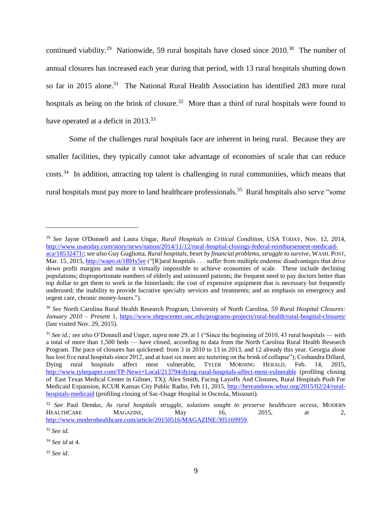<span id="page-12-1"></span><span id="page-12-0"></span>continued viability.<sup>29</sup> Nationwide, 59 rural hospitals have closed since  $2010$ .<sup>30</sup> The number of annual closures has increased each year during that period, with 13 rural hospitals shutting down so far in 2015 alone.<sup>31</sup> The National Rural Health Association has identified 283 more rural hospitals as being on the brink of closure.<sup>32</sup> More than a third of rural hospitals were found to have operated at a deficit in 2013.<sup>33</sup>

Some of the challenges rural hospitals face are inherent in being rural. Because they are smaller facilities, they typically cannot take advantage of economies of scale that can reduce costs.<sup>34</sup> In addition, attracting top talent is challenging in rural communities, which means that rural hospitals must pay more to land healthcare professionals.<sup>35</sup> Rural hospitals also serve "some

<sup>29</sup> *See* Jayne O'Donnell and Laura Ungar, *Rural Hospitals in Critical Condition*, USA TODAY, Nov. 12, 2014, [http://www.usatoday.com/story/news/nation/2014/11/12/rural-hospital-closings-federal-reimbursement-medicaid](http://www.usatoday.com/story/news/nation/2014/11/12/rural-hospital-closings-federal-reimbursement-medicaid-aca/18532471/)[aca/18532471/;](http://www.usatoday.com/story/news/nation/2014/11/12/rural-hospital-closings-federal-reimbursement-medicaid-aca/18532471/) *see also* Guy Gugliotta, *Rural hospitals, beset by financial problems, struggle to survive*, WASH. POST, Mar. 15, 2015,<http://wapo.st/1BHy5re> ("[R]ural hospitals . . . suffer from multiple endemic disadvantages that drive down profit margins and make it virtually impossible to achieve economies of scale. These include declining populations; disproportionate numbers of elderly and uninsured patients; the frequent need to pay doctors better than top dollar to get them to work in the hinterlands; the cost of expensive equipment that is necessary but frequently underused; the inability to provide lucrative specialty services and treatments; and an emphasis on emergency and urgent care, chronic money-losers.").

<sup>30</sup> *See* North Carolina Rural Health Research Program, University of North Carolina, *59 Rural Hospital Closures: January* 2010 – *Present* 1,<https://www.shepscenter.unc.edu/programs-projects/rural-health/rural-hospital-closures/> (last visited Nov. 29, 2015).

<sup>31</sup> *See id.; see also* O'Donnell and Unger*, supra* note [29,](#page-12-0) at 1 ("Since the beginning of 2010, 43 rural hospitals — with a total of more than 1,500 beds — have closed, according to data from the North Carolina Rural Health Research Program. The pace of closures has quickened: from 3 in 2010 to 13 in 2013, and 12 already this year. Georgia alone has lost five rural hospitals since 2012, and at least six more are teetering on the brink of collapse"); Coshandra Dillard, Dying rural hospitals affect most vulnerable, TYLER MORNING HERALD, Feb. 14, 2015, <http://www.tylerpaper.com/TP-News+Local/213794/dying-rural-hospitals-affect-most-vulnerable> (profiling closing of East Texas Medical Center in Gilmer, TX); Alex Smith, Facing Layoffs And Closures, Rural Hospitals Push For Medicaid Expansion, KCUR Kansas City Public Radio, Feb 11, 2015, [http://hereandnow.wbur.org/2015/02/24/rural](http://hereandnow.wbur.org/2015/02/24/rural-hospitals-medicaid)[hospitals-medicaid](http://hereandnow.wbur.org/2015/02/24/rural-hospitals-medicaid) (profiling closing of Sac-Osage Hospital in Osceola, Missouri).

<sup>32</sup> *See* Paul Demko, *As rural hospitals struggle, solutions sought to preserve healthcare access,* MODERN HEALTHCARE MAGAZINE, May 16, 2015, at 2, [http://www.modernhealthcare.com/article/20150516/MAGAZINE/305169959.](http://www.modernhealthcare.com/article/20150516/MAGAZINE/305169959)

<sup>33</sup> *See id.*

<sup>34</sup> *See id* at 4.

<sup>35</sup> *See id*.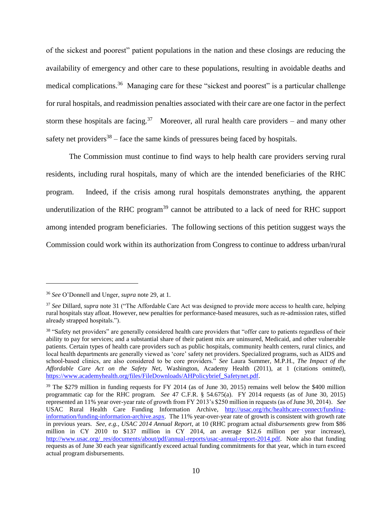of the sickest and poorest" patient populations in the nation and these closings are reducing the availability of emergency and other care to these populations, resulting in avoidable deaths and medical complications.<sup>36</sup> Managing care for these "sickest and poorest" is a particular challenge for rural hospitals, and readmission penalties associated with their care are one factor in the perfect storm these hospitals are facing.<sup>37</sup> Moreover, all rural health care providers – and many other safety net providers<sup>38</sup> – face the same kinds of pressures being faced by hospitals.

The Commission must continue to find ways to help health care providers serving rural residents, including rural hospitals, many of which are the intended beneficiaries of the RHC program. Indeed, if the crisis among rural hospitals demonstrates anything, the apparent underutilization of the RHC program<sup>39</sup> cannot be attributed to a lack of need for RHC support among intended program beneficiaries. The following sections of this petition suggest ways the Commission could work within its authorization from Congress to continue to address urban/rural

<sup>36</sup> *See* O'Donnell and Unger, *supra* not[e 29,](#page-12-0) at 1.

<sup>37</sup> *See* Dillard, *supra* note [31](#page-12-1) ("The Affordable Care Act was designed to provide more access to health care, helping rural hospitals stay afloat. However, new penalties for performance-based measures, such as re-admission rates, stifled already strapped hospitals.").

<sup>&</sup>lt;sup>38</sup> "Safety net providers" are generally considered health care providers that "offer care to patients regardless of their ability to pay for services; and a substantial share of their patient mix are uninsured, Medicaid, and other vulnerable patients. Certain types of health care providers such as public hospitals, community health centers, rural clinics, and local health departments are generally viewed as 'core' safety net providers. Specialized programs, such as AIDS and school-based clinics, are also considered to be core providers." *See* Laura Summer, M.P.H., *The Impact of the Affordable Care Act on the Safety Net,* Washington, Academy Health (2011), at 1 (citations omitted), [https://www.academyhealth.org/files/FileDownloads/AHPolicybrief\\_Safetynet.pdf.](https://www.academyhealth.org/files/FileDownloads/AHPolicybrief_Safetynet.pdf)

<sup>&</sup>lt;sup>39</sup> The \$279 million in funding requests for FY 2014 (as of June 30, 2015) remains well below the \$400 million programmatic cap for the RHC program. *See* 47 C.F.R. § 54.675(a). FY 2014 requests (as of June 30, 2015) represented an 11% year over-year rate of growth from FY 2013's \$250 million in requests (as of June 30, 2014). *See* USAC Rural Health Care Funding Information Archive, [http://usac.org/rhc/healthcare-connect/funding](http://usac.org/rhc/healthcare-connect/funding-information/funding-information-archive.aspx)[information/funding-information-archive.aspx.](http://usac.org/rhc/healthcare-connect/funding-information/funding-information-archive.aspx) The 11% year-over-year rate of growth is consistent with growth rate in previous years. *See, e.g., USAC 2014 Annual Report*, at 10 (RHC program actual *disbursements* grew from \$86 million in CY 2010 to \$137 million in CY 2014, an average \$12.6 million per year increase), [http://www.usac.org/\\_res/documents/about/pdf/annual-reports/usac-annual-report-2014.pdf.](http://www.usac.org/_res/documents/about/pdf/annual-reports/usac-annual-report-2014.pdf) Note also that funding requests as of June 30 each year significantly exceed actual funding commitments for that year, which in turn exceed actual program disbursements.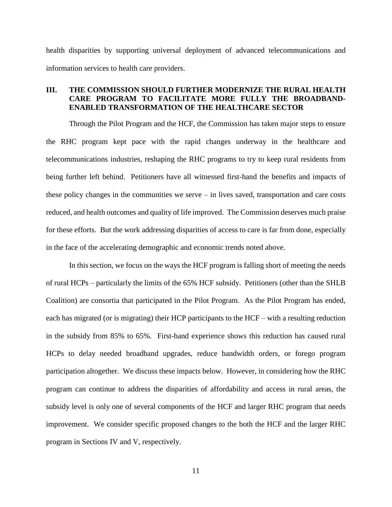health disparities by supporting universal deployment of advanced telecommunications and information services to health care providers.

# <span id="page-14-0"></span>**III. THE COMMISSION SHOULD FURTHER MODERNIZE THE RURAL HEALTH CARE PROGRAM TO FACILITATE MORE FULLY THE BROADBAND-ENABLED TRANSFORMATION OF THE HEALTHCARE SECTOR**

Through the Pilot Program and the HCF, the Commission has taken major steps to ensure the RHC program kept pace with the rapid changes underway in the healthcare and telecommunications industries, reshaping the RHC programs to try to keep rural residents from being further left behind. Petitioners have all witnessed first-hand the benefits and impacts of these policy changes in the communities we serve – in lives saved, transportation and care costs reduced, and health outcomes and quality of life improved. The Commission deserves much praise for these efforts. But the work addressing disparities of access to care is far from done, especially in the face of the accelerating demographic and economic trends noted above.

In this section, we focus on the ways the HCF program is falling short of meeting the needs of rural HCPs – particularly the limits of the 65% HCF subsidy. Petitioners (other than the SHLB Coalition) are consortia that participated in the Pilot Program. As the Pilot Program has ended, each has migrated (or is migrating) their HCP participants to the HCF – with a resulting reduction in the subsidy from 85% to 65%. First-hand experience shows this reduction has caused rural HCPs to delay needed broadband upgrades, reduce bandwidth orders, or forego program participation altogether. We discuss these impacts below. However, in considering how the RHC program can continue to address the disparities of affordability and access in rural areas, the subsidy level is only one of several components of the HCF and larger RHC program that needs improvement. We consider specific proposed changes to the both the HCF and the larger RHC program in Sections IV and V, respectively.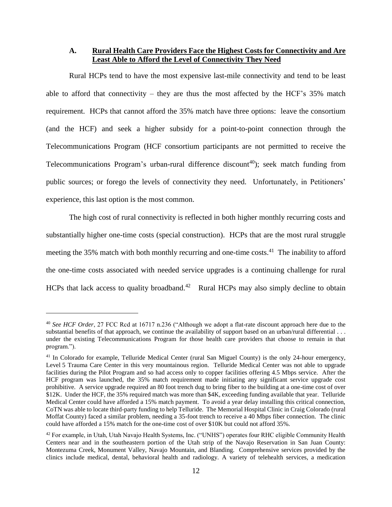<span id="page-15-0"></span>**A. Rural Health Care Providers Face the Highest Costs for Connectivity and Are Least Able to Afford the Level of Connectivity They Need**

Rural HCPs tend to have the most expensive last-mile connectivity and tend to be least able to afford that connectivity – they are thus the most affected by the HCF's  $35\%$  match requirement. HCPs that cannot afford the 35% match have three options: leave the consortium (and the HCF) and seek a higher subsidy for a point-to-point connection through the Telecommunications Program (HCF consortium participants are not permitted to receive the Telecommunications Program's urban-rural difference discount<sup>40</sup>); seek match funding from public sources; or forego the levels of connectivity they need. Unfortunately, in Petitioners' experience, this last option is the most common.

The high cost of rural connectivity is reflected in both higher monthly recurring costs and substantially higher one-time costs (special construction). HCPs that are the most rural struggle meeting the 35% match with both monthly recurring and one-time costs. $41$  The inability to afford the one-time costs associated with needed service upgrades is a continuing challenge for rural HCPs that lack access to quality broadband.<sup>42</sup> Rural HCPs may also simply decline to obtain

<sup>40</sup> *See HCF Order*, 27 FCC Rcd at 16717 n.236 ("Although we adopt a flat-rate discount approach here due to the substantial benefits of that approach, we continue the availability of support based on an urban/rural differential ... under the existing Telecommunications Program for those health care providers that choose to remain in that program.").

<sup>&</sup>lt;sup>41</sup> In Colorado for example, Telluride Medical Center (rural San Miguel County) is the only 24-hour emergency, Level 5 Trauma Care Center in this very mountainous region. Telluride Medical Center was not able to upgrade facilities during the Pilot Program and so had access only to copper facilities offering 4.5 Mbps service. After the HCF program was launched, the 35% match requirement made initiating any significant service upgrade cost prohibitive. A service upgrade required an 80 foot trench dug to bring fiber to the building at a one-time cost of over \$12K. Under the HCF, the 35% required match was more than \$4K, exceeding funding available that year. Telluride Medical Center could have afforded a 15% match payment. To avoid a year delay installing this critical connection, CoTN was able to locate third-party funding to help Telluride. The Memorial Hospital Clinic in Craig Colorado (rural Moffat County) faced a similar problem, needing a 35-foot trench to receive a 40 Mbps fiber connection. The clinic could have afforded a 15% match for the one-time cost of over \$10K but could not afford 35%.

<sup>&</sup>lt;sup>42</sup> For example, in Utah, Utah Navajo Health Systems, Inc. ("UNHS") operates four RHC eligible Community Health Centers near and in the southeastern portion of the Utah strip of the Navajo Reservation in San Juan County: Montezuma Creek, Monument Valley, Navajo Mountain, and Blanding. Comprehensive services provided by the clinics include medical, dental, behavioral health and radiology. A variety of telehealth services, a medication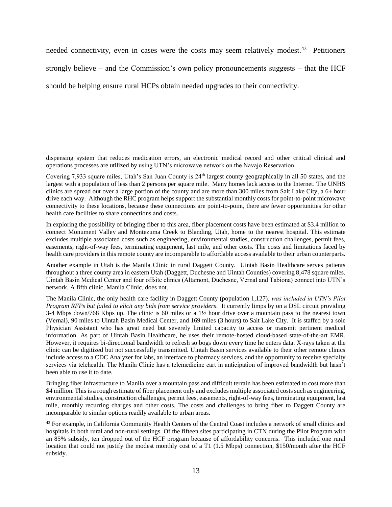needed connectivity, even in cases were the costs may seem relatively modest.<sup>43</sup> Petitioners

strongly believe – and the Commission's own policy pronouncements suggests – that the HCF

should be helping ensure rural HCPs obtain needed upgrades to their connectivity.

 $\overline{a}$ 

In exploring the possibility of bringing fiber to this area, fiber placement costs have been estimated at \$3.4 million to connect Monument Valley and Montezuma Creek to Blanding, Utah, home to the nearest hospital. This estimate excludes multiple associated costs such as engineering, environmental studies, construction challenges, permit fees, easements, right-of-way fees, terminating equipment, last mile, and other costs. The costs and limitations faced by health care providers in this remote county are incomparable to affordable access available to their urban counterparts.

dispensing system that reduces medication errors, an electronic medical record and other critical clinical and operations processes are utilized by using UTN's microwave network on the Navajo Reservation.

Covering 7,933 square miles, Utah's San Juan County is 24<sup>th</sup> largest county geographically in all 50 states, and the largest with a population of less than 2 persons per square mile. Many homes lack access to the Internet. The UNHS clinics are spread out over a large portion of the county and are more than 300 miles from Salt Lake City, a 6+ hour drive each way. Although the RHC program helps support the substantial monthly costs for point-to-point microwave connectivity to these locations, because these connections are point-to-point, there are fewer opportunities for other health care facilities to share connections and costs.

Another example in Utah is the Manila Clinic in rural Daggett County. Uintah Basin Healthcare serves patients throughout a three county area in eastern Utah (Daggett, Duchesne and Uintah Counties) covering 8,478 square miles. Uintah Basin Medical Center and four offsite clinics (Altamont, Duchesne, Vernal and Tabiona) connect into UTN's network. A fifth clinic, Manila Clinic, does not.

The Manila Clinic, the only health care facility in Daggett County (population 1,127), *was included in UTN's Pilot Program RFPs but failed to elicit any bids from service providers*. It currently limps by on a DSL circuit providing 3-4 Mbps down/768 Kbps up. The clinic is 60 miles or a 1½ hour drive over a mountain pass to the nearest town (Vernal), 90 miles to Uintah Basin Medical Center, and 169 miles (3 hours) to Salt Lake City. It is staffed by a sole Physician Assistant who has great need but severely limited capacity to access or transmit pertinent medical information. As part of Uintah Basin Healthcare, he uses their remote-hosted cloud-based state-of-the-art EMR. However, it requires bi-directional bandwidth to refresh so bogs down every time he enters data. X-rays taken at the clinic can be digitized but not successfully transmitted. Uintah Basin services available to their other remote clinics include access to a CDC Analyzer for labs, an interface to pharmacy services, and the opportunity to receive specialty services via telehealth. The Manila Clinic has a telemedicine cart in anticipation of improved bandwidth but hasn't been able to use it to date.

Bringing fiber infrastructure to Manila over a mountain pass and difficult terrain has been estimated to cost more than \$4 million. This is a rough estimate of fiber placement only and excludes multiple associated costs such as engineering, environmental studies, construction challenges, permit fees, easements, right-of-way fees, terminating equipment, last mile, monthly recurring charges and other costs. The costs and challenges to bring fiber to Daggett County are incomparable to similar options readily available to urban areas.

<sup>&</sup>lt;sup>43</sup> For example, in California Community Health Centers of the Central Coast includes a network of small clinics and hospitals in both rural and non-rural settings. Of the fifteen sites participating in CTN during the Pilot Program with an 85% subsidy, ten dropped out of the HCF program because of affordability concerns. This included one rural location that could not justify the modest monthly cost of a T1 (1.5 Mbps) connection, \$150/month after the HCF subsidy.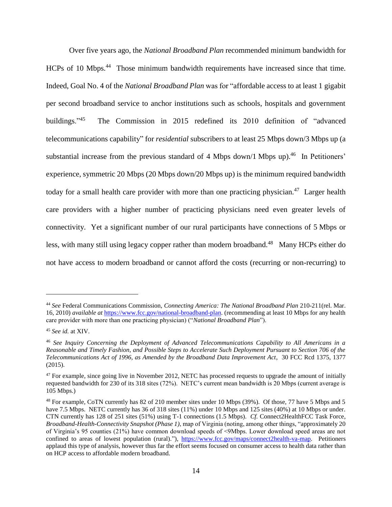Over five years ago, the *National Broadband Plan* recommended minimum bandwidth for HCPs of 10 Mbps.<sup>44</sup> Those minimum bandwidth requirements have increased since that time. Indeed, Goal No. 4 of the *National Broadband Plan* was for "affordable access to at least 1 gigabit per second broadband service to anchor institutions such as schools, hospitals and government buildings."<sup>45</sup> The Commission in 2015 redefined its 2010 definition of "advanced telecommunications capability" for *residential* subscribers to at least 25 Mbps down/3 Mbps up (a substantial increase from the previous standard of 4 Mbps down/1 Mbps up).<sup>46</sup> In Petitioners' experience, symmetric 20 Mbps (20 Mbps down/20 Mbps up) is the minimum required bandwidth today for a small health care provider with more than one practicing physician.<sup>47</sup> Larger health care providers with a higher number of practicing physicians need even greater levels of connectivity. Yet a significant number of our rural participants have connections of 5 Mbps or less, with many still using legacy copper rather than modern broadband.<sup>48</sup> Many HCPs either do not have access to modern broadband or cannot afford the costs (recurring or non-recurring) to

<sup>44</sup> *See* Federal Communications Commission, *Connecting America: The National Broadband Plan* 210-211(rel. Mar. 16, 2010) *available at* [https://www.fcc.gov/national-broadband-plan.](https://www.fcc.gov/national-broadband-plan) (recommending at least 10 Mbps for any health care provider with more than one practicing physician) ("*National Broadband Plan*").

<sup>45</sup> *See id.* at XIV.

<sup>46</sup> *See Inquiry Concerning the Deployment of Advanced Telecommunications Capability to All Americans in a Reasonable and Timely Fashion, and Possible Steps to Accelerate Such Deployment Pursuant to Section 706 of the Telecommunications Act of 1996, as Amended by the Broadband Data Improvement Act*, 30 FCC Rcd 1375, 1377 (2015).

 $47$  For example, since going live in November 2012, NETC has processed requests to upgrade the amount of initially requested bandwidth for 230 of its 318 sites (72%). NETC's current mean bandwidth is 20 Mbps (current average is 105 Mbps.)

<sup>48</sup> For example, CoTN currently has 82 of 210 member sites under 10 Mbps (39%). Of those, 77 have 5 Mbps and 5 have 7.5 Mbps. NETC currently has 36 of 318 sites (11%) under 10 Mbps and 125 sites (40%) at 10 Mbps or under. CTN currently has 128 of 251 sites (51%) using T-1 connections (1.5 Mbps). *Cf.* Connect2HealthFCC Task Force, *Broadband-Health-Connectivity Snapshot (Phase 1)*, map of Virginia (noting, among other things, "approximately 20 of Virginia's 95 counties (21%) have common download speeds of <9Mbps. Lower download speed areas are not confined to areas of lowest population (rural)."), [https://www.fcc.gov/maps/connect2health-va-map.](https://www.fcc.gov/maps/connect2health-va-map) Petitioners applaud this type of analysis, however thus far the effort seems focused on consumer access to health data rather than on HCP access to affordable modern broadband.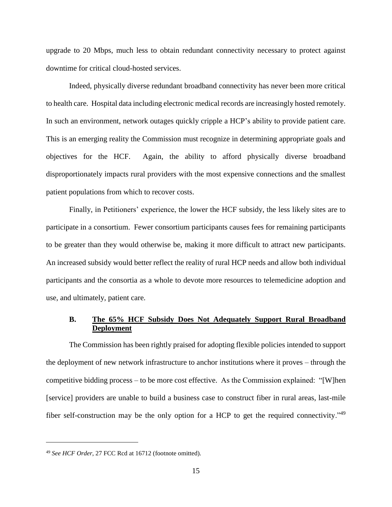upgrade to 20 Mbps, much less to obtain redundant connectivity necessary to protect against downtime for critical cloud-hosted services.

Indeed, physically diverse redundant broadband connectivity has never been more critical to health care. Hospital data including electronic medical records are increasingly hosted remotely. In such an environment, network outages quickly cripple a HCP's ability to provide patient care. This is an emerging reality the Commission must recognize in determining appropriate goals and objectives for the HCF. Again, the ability to afford physically diverse broadband disproportionately impacts rural providers with the most expensive connections and the smallest patient populations from which to recover costs.

Finally, in Petitioners' experience, the lower the HCF subsidy, the less likely sites are to participate in a consortium. Fewer consortium participants causes fees for remaining participants to be greater than they would otherwise be, making it more difficult to attract new participants. An increased subsidy would better reflect the reality of rural HCP needs and allow both individual participants and the consortia as a whole to devote more resources to telemedicine adoption and use, and ultimately, patient care.

### <span id="page-18-0"></span>**B. The 65% HCF Subsidy Does Not Adequately Support Rural Broadband Deployment**

The Commission has been rightly praised for adopting flexible policies intended to support the deployment of new network infrastructure to anchor institutions where it proves – through the competitive bidding process – to be more cost effective. As the Commission explained: "[W]hen [service] providers are unable to build a business case to construct fiber in rural areas, last-mile fiber self-construction may be the only option for a HCP to get the required connectivity."<sup>49</sup>

<sup>49</sup> *See HCF Order*, 27 FCC Rcd at 16712 (footnote omitted).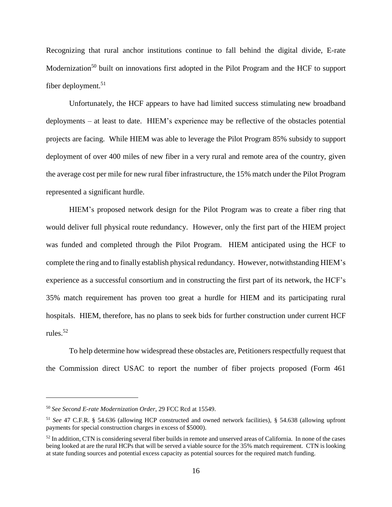Recognizing that rural anchor institutions continue to fall behind the digital divide, E-rate Modernization<sup>50</sup> built on innovations first adopted in the Pilot Program and the HCF to support fiber deployment. 51

Unfortunately, the HCF appears to have had limited success stimulating new broadband deployments – at least to date. HIEM's experience may be reflective of the obstacles potential projects are facing. While HIEM was able to leverage the Pilot Program 85% subsidy to support deployment of over 400 miles of new fiber in a very rural and remote area of the country, given the average cost per mile for new rural fiber infrastructure, the 15% match under the Pilot Program represented a significant hurdle.

HIEM's proposed network design for the Pilot Program was to create a fiber ring that would deliver full physical route redundancy. However, only the first part of the HIEM project was funded and completed through the Pilot Program. HIEM anticipated using the HCF to complete the ring and to finally establish physical redundancy. However, notwithstanding HIEM's experience as a successful consortium and in constructing the first part of its network, the HCF's 35% match requirement has proven too great a hurdle for HIEM and its participating rural hospitals. HIEM, therefore, has no plans to seek bids for further construction under current HCF rules.<sup>52</sup>

To help determine how widespread these obstacles are, Petitioners respectfully request that the Commission direct USAC to report the number of fiber projects proposed (Form 461

<sup>50</sup> *See Second E-rate Modernization Order*, 29 FCC Rcd at 15549.

<sup>51</sup> *See* 47 C.F.R. § 54.636 (allowing HCP constructed and owned network facilities), § 54.638 (allowing upfront payments for special construction charges in excess of \$5000).

<sup>52</sup> In addition, CTN is considering several fiber builds in remote and unserved areas of California. In none of the cases being looked at are the rural HCPs that will be served a viable source for the 35% match requirement. CTN is looking at state funding sources and potential excess capacity as potential sources for the required match funding.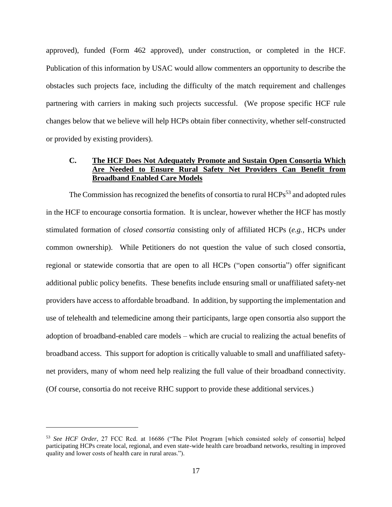approved), funded (Form 462 approved), under construction, or completed in the HCF. Publication of this information by USAC would allow commenters an opportunity to describe the obstacles such projects face, including the difficulty of the match requirement and challenges partnering with carriers in making such projects successful. (We propose specific HCF rule changes below that we believe will help HCPs obtain fiber connectivity, whether self-constructed or provided by existing providers).

### <span id="page-20-0"></span>**C. The HCF Does Not Adequately Promote and Sustain Open Consortia Which Are Needed to Ensure Rural Safety Net Providers Can Benefit from Broadband Enabled Care Models**

The Commission has recognized the benefits of consortia to rural  $HCPs<sup>53</sup>$  and adopted rules in the HCF to encourage consortia formation. It is unclear, however whether the HCF has mostly stimulated formation of *closed consortia* consisting only of affiliated HCPs (*e.g.,* HCPs under common ownership). While Petitioners do not question the value of such closed consortia, regional or statewide consortia that are open to all HCPs ("open consortia") offer significant additional public policy benefits. These benefits include ensuring small or unaffiliated safety-net providers have access to affordable broadband. In addition, by supporting the implementation and use of telehealth and telemedicine among their participants, large open consortia also support the adoption of broadband-enabled care models – which are crucial to realizing the actual benefits of broadband access. This support for adoption is critically valuable to small and unaffiliated safetynet providers, many of whom need help realizing the full value of their broadband connectivity. (Of course, consortia do not receive RHC support to provide these additional services.)

<sup>53</sup> *See HCF Order*, 27 FCC Rcd. at 16686 ("The Pilot Program [which consisted solely of consortia] helped participating HCPs create local, regional, and even state-wide health care broadband networks, resulting in improved quality and lower costs of health care in rural areas.").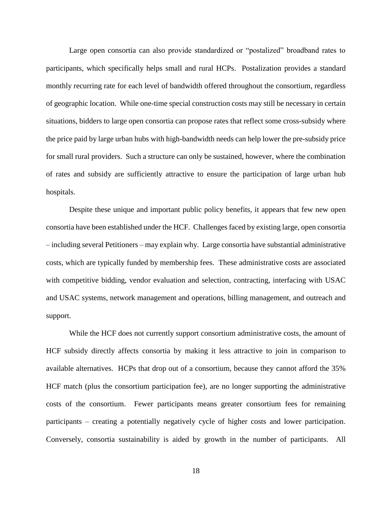Large open consortia can also provide standardized or "postalized" broadband rates to participants, which specifically helps small and rural HCPs. Postalization provides a standard monthly recurring rate for each level of bandwidth offered throughout the consortium, regardless of geographic location. While one-time special construction costs may still be necessary in certain situations, bidders to large open consortia can propose rates that reflect some cross-subsidy where the price paid by large urban hubs with high-bandwidth needs can help lower the pre-subsidy price for small rural providers. Such a structure can only be sustained, however, where the combination of rates and subsidy are sufficiently attractive to ensure the participation of large urban hub hospitals.

Despite these unique and important public policy benefits, it appears that few new open consortia have been established under the HCF. Challenges faced by existing large, open consortia – including several Petitioners – may explain why. Large consortia have substantial administrative costs, which are typically funded by membership fees. These administrative costs are associated with competitive bidding, vendor evaluation and selection, contracting, interfacing with USAC and USAC systems, network management and operations, billing management, and outreach and support.

While the HCF does not currently support consortium administrative costs, the amount of HCF subsidy directly affects consortia by making it less attractive to join in comparison to available alternatives. HCPs that drop out of a consortium, because they cannot afford the 35% HCF match (plus the consortium participation fee), are no longer supporting the administrative costs of the consortium. Fewer participants means greater consortium fees for remaining participants – creating a potentially negatively cycle of higher costs and lower participation. Conversely, consortia sustainability is aided by growth in the number of participants. All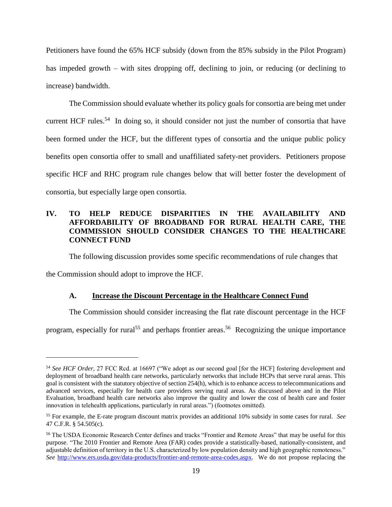Petitioners have found the 65% HCF subsidy (down from the 85% subsidy in the Pilot Program) has impeded growth – with sites dropping off, declining to join, or reducing (or declining to increase) bandwidth.

The Commission should evaluate whether its policy goals for consortia are being met under current HCF rules.<sup>54</sup> In doing so, it should consider not just the number of consortia that have been formed under the HCF, but the different types of consortia and the unique public policy benefits open consortia offer to small and unaffiliated safety-net providers. Petitioners propose specific HCF and RHC program rule changes below that will better foster the development of consortia, but especially large open consortia.

# <span id="page-22-0"></span>**IV. TO HELP REDUCE DISPARITIES IN THE AVAILABILITY AND AFFORDABILITY OF BROADBAND FOR RURAL HEALTH CARE, THE COMMISSION SHOULD CONSIDER CHANGES TO THE HEALTHCARE CONNECT FUND**

The following discussion provides some specific recommendations of rule changes that

<span id="page-22-1"></span>the Commission should adopt to improve the HCF.

 $\overline{a}$ 

### **A. Increase the Discount Percentage in the Healthcare Connect Fund**

The Commission should consider increasing the flat rate discount percentage in the HCF

program, especially for rural<sup>55</sup> and perhaps frontier areas.<sup>56</sup> Recognizing the unique importance

<sup>54</sup> *See HCF Order*, 27 FCC Rcd. at 16697 ("We adopt as our second goal [for the HCF] fostering development and deployment of broadband health care networks, particularly networks that include HCPs that serve rural areas. This goal is consistent with the statutory objective of section 254(h), which is to enhance access to telecommunications and advanced services, especially for health care providers serving rural areas. As discussed above and in the Pilot Evaluation, broadband health care networks also improve the quality and lower the cost of health care and foster innovation in telehealth applications, particularly in rural areas.") (footnotes omitted).

<sup>55</sup> For example, the E-rate program discount matrix provides an additional 10% subsidy in some cases for rural. *See* 47 C.F.R. § 54.505(c).

<sup>&</sup>lt;sup>56</sup> The USDA Economic Research Center defines and tracks "Frontier and Remote Areas" that may be useful for this purpose. "The 2010 Frontier and Remote Area (FAR) codes provide a statistically-based, nationally-consistent, and adjustable definition of territory in the U.S. characterized by low population density and high geographic remoteness." *See* [http://www.ers.usda.gov/data-products/frontier-and-remote-area-codes.aspx.](http://www.ers.usda.gov/data-products/frontier-and-remote-area-codes.aspx) We do not propose replacing the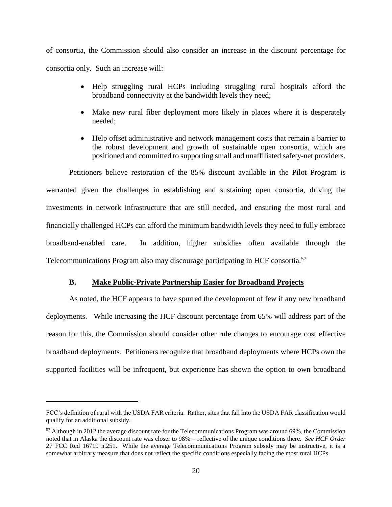of consortia, the Commission should also consider an increase in the discount percentage for consortia only. Such an increase will:

- Help struggling rural HCPs including struggling rural hospitals afford the broadband connectivity at the bandwidth levels they need;
- Make new rural fiber deployment more likely in places where it is desperately needed;
- Help offset administrative and network management costs that remain a barrier to the robust development and growth of sustainable open consortia, which are positioned and committed to supporting small and unaffiliated safety-net providers.

Petitioners believe restoration of the 85% discount available in the Pilot Program is warranted given the challenges in establishing and sustaining open consortia, driving the investments in network infrastructure that are still needed, and ensuring the most rural and financially challenged HCPs can afford the minimum bandwidth levels they need to fully embrace broadband-enabled care. In addition, higher subsidies often available through the Telecommunications Program also may discourage participating in HCF consortia.<sup>57</sup>

### **B. Make Public-Private Partnership Easier for Broadband Projects**

<span id="page-23-0"></span>As noted, the HCF appears to have spurred the development of few if any new broadband deployments. While increasing the HCF discount percentage from 65% will address part of the reason for this, the Commission should consider other rule changes to encourage cost effective broadband deployments*.* Petitioners recognize that broadband deployments where HCPs own the supported facilities will be infrequent, but experience has shown the option to own broadband

FCC's definition of rural with the USDA FAR criteria. Rather, sites that fall into the USDA FAR classification would qualify for an additional subsidy.

<sup>&</sup>lt;sup>57</sup> Although in 2012 the average discount rate for the Telecommunications Program was around 69%, the Commission noted that in Alaska the discount rate was closer to 98% – reflective of the unique conditions there. *See HCF Order*  27 FCC Rcd 16719 n.251. While the average Telecommunications Program subsidy may be instructive, it is a somewhat arbitrary measure that does not reflect the specific conditions especially facing the most rural HCPs.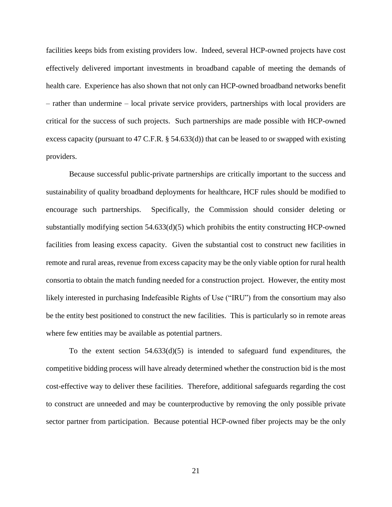facilities keeps bids from existing providers low. Indeed, several HCP-owned projects have cost effectively delivered important investments in broadband capable of meeting the demands of health care. Experience has also shown that not only can HCP-owned broadband networks benefit – rather than undermine – local private service providers, partnerships with local providers are critical for the success of such projects. Such partnerships are made possible with HCP-owned excess capacity (pursuant to 47 C.F.R. § 54.633(d)) that can be leased to or swapped with existing providers.

Because successful public-private partnerships are critically important to the success and sustainability of quality broadband deployments for healthcare, HCF rules should be modified to encourage such partnerships. Specifically, the Commission should consider deleting or substantially modifying section 54.633(d)(5) which prohibits the entity constructing HCP-owned facilities from leasing excess capacity. Given the substantial cost to construct new facilities in remote and rural areas, revenue from excess capacity may be the only viable option for rural health consortia to obtain the match funding needed for a construction project. However, the entity most likely interested in purchasing Indefeasible Rights of Use ("IRU") from the consortium may also be the entity best positioned to construct the new facilities. This is particularly so in remote areas where few entities may be available as potential partners.

To the extent section  $54.633(d)(5)$  is intended to safeguard fund expenditures, the competitive bidding process will have already determined whether the construction bid is the most cost-effective way to deliver these facilities. Therefore, additional safeguards regarding the cost to construct are unneeded and may be counterproductive by removing the only possible private sector partner from participation. Because potential HCP-owned fiber projects may be the only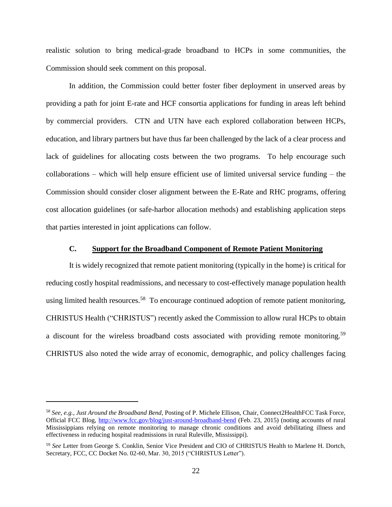realistic solution to bring medical-grade broadband to HCPs in some communities, the Commission should seek comment on this proposal.

In addition, the Commission could better foster fiber deployment in unserved areas by providing a path for joint E-rate and HCF consortia applications for funding in areas left behind by commercial providers. CTN and UTN have each explored collaboration between HCPs, education, and library partners but have thus far been challenged by the lack of a clear process and lack of guidelines for allocating costs between the two programs. To help encourage such collaborations – which will help ensure efficient use of limited universal service funding – the Commission should consider closer alignment between the E-Rate and RHC programs, offering cost allocation guidelines (or safe-harbor allocation methods) and establishing application steps that parties interested in joint applications can follow.

#### **C. Support for the Broadband Component of Remote Patient Monitoring**

<span id="page-25-0"></span>It is widely recognized that remote patient monitoring (typically in the home) is critical for reducing costly hospital readmissions, and necessary to cost-effectively manage population health using limited health resources.<sup>58</sup> To encourage continued adoption of remote patient monitoring, CHRISTUS Health ("CHRISTUS") recently asked the Commission to allow rural HCPs to obtain a discount for the wireless broadband costs associated with providing remote monitoring.<sup>59</sup> CHRISTUS also noted the wide array of economic, demographic, and policy challenges facing

<sup>58</sup> *See, e.g., Just Around the Broadband Bend*, Posting of P. Michele Ellison, Chair, Connect2HealthFCC Task Force, Official FCC Blog,<http://www.fcc.gov/blog/just-around-broadband-bend> (Feb. 23, 2015) (noting accounts of rural Mississippians relying on remote monitoring to manage chronic conditions and avoid debilitating illness and effectiveness in reducing hospital readmissions in rural Ruleville, Mississippi).

<sup>59</sup> *See* Letter from George S. Conklin, Senior Vice President and CIO of CHRISTUS Health to Marlene H. Dortch, Secretary, FCC, CC Docket No. 02-60, Mar. 30, 2015 ("CHRISTUS Letter").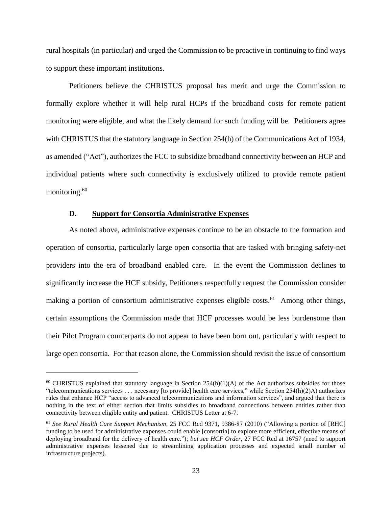rural hospitals (in particular) and urged the Commission to be proactive in continuing to find ways to support these important institutions.

Petitioners believe the CHRISTUS proposal has merit and urge the Commission to formally explore whether it will help rural HCPs if the broadband costs for remote patient monitoring were eligible, and what the likely demand for such funding will be. Petitioners agree with CHRISTUS that the statutory language in Section 254(h) of the Communications Act of 1934, as amended ("Act"), authorizes the FCC to subsidize broadband connectivity between an HCP and individual patients where such connectivity is exclusively utilized to provide remote patient monitoring. 60

#### **D. Support for Consortia Administrative Expenses**

 $\overline{a}$ 

<span id="page-26-0"></span>As noted above, administrative expenses continue to be an obstacle to the formation and operation of consortia, particularly large open consortia that are tasked with bringing safety-net providers into the era of broadband enabled care. In the event the Commission declines to significantly increase the HCF subsidy, Petitioners respectfully request the Commission consider making a portion of consortium administrative expenses eligible costs.<sup>61</sup> Among other things, certain assumptions the Commission made that HCF processes would be less burdensome than their Pilot Program counterparts do not appear to have been born out, particularly with respect to large open consortia. For that reason alone, the Commission should revisit the issue of consortium

 $60$  CHRISTUS explained that statutory language in Section 254(h)(1)(A) of the Act authorizes subsidies for those "telecommunications services . . . necessary [to provide] health care services," while Section 254(h)(2)A) authorizes rules that enhance HCP "access to advanced telecommunications and information services", and argued that there is nothing in the text of either section that limits subsidies to broadband connections between entities rather than connectivity between eligible entity and patient. CHRISTUS Letter at 6-7.

<sup>61</sup> *See Rural Health Care Support Mechanism*, 25 FCC Rcd 9371, 9386-87 (2010) ("Allowing a portion of [RHC] funding to be used for administrative expenses could enable [consortia] to explore more efficient, effective means of deploying broadband for the delivery of health care."); *but see HCF Order,* 27 FCC Rcd at 16757 (need to support administrative expenses lessened due to streamlining application processes and expected small number of infrastructure projects).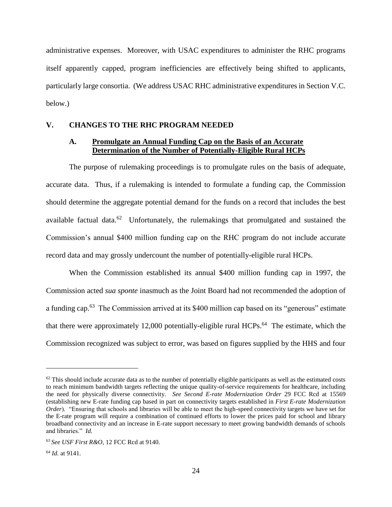administrative expenses. Moreover, with USAC expenditures to administer the RHC programs itself apparently capped, program inefficiencies are effectively being shifted to applicants, particularly large consortia. (We address USAC RHC administrative expenditures in Section V.C. below.)

### <span id="page-27-1"></span><span id="page-27-0"></span>**V. CHANGES TO THE RHC PROGRAM NEEDED**

### **A. Promulgate an Annual Funding Cap on the Basis of an Accurate Determination of the Number of Potentially-Eligible Rural HCPs**

The purpose of rulemaking proceedings is to promulgate rules on the basis of adequate, accurate data. Thus, if a rulemaking is intended to formulate a funding cap, the Commission should determine the aggregate potential demand for the funds on a record that includes the best available factual data. $^{62}$  Unfortunately, the rulemakings that promulgated and sustained the Commission's annual \$400 million funding cap on the RHC program do not include accurate record data and may grossly undercount the number of potentially-eligible rural HCPs.

When the Commission established its annual \$400 million funding cap in 1997, the Commission acted *sua sponte* inasmuch as the Joint Board had not recommended the adoption of a funding cap.<sup>63</sup> The Commission arrived at its \$400 million cap based on its "generous" estimate that there were approximately 12,000 potentially-eligible rural HCPs.<sup>64</sup> The estimate, which the Commission recognized was subject to error, was based on figures supplied by the HHS and four

 $62$  This should include accurate data as to the number of potentially eligible participants as well as the estimated costs to reach minimum bandwidth targets reflecting the unique quality-of-service requirements for healthcare, including the need for physically diverse connectivity. *See Second E-rate Modernization Order* 29 FCC Rcd at 15569 (establishing new E-rate funding cap based in part on connectivity targets established in *First E-rate Modernization Order*). "Ensuring that schools and libraries will be able to meet the high-speed connectivity targets we have set for the E-rate program will require a combination of continued efforts to lower the prices paid for school and library broadband connectivity and an increase in E-rate support necessary to meet growing bandwidth demands of schools and libraries." *Id.*

<sup>63</sup> *See USF First R&O*, 12 FCC Rcd at 9140.

<sup>64</sup> *Id.* at 9141.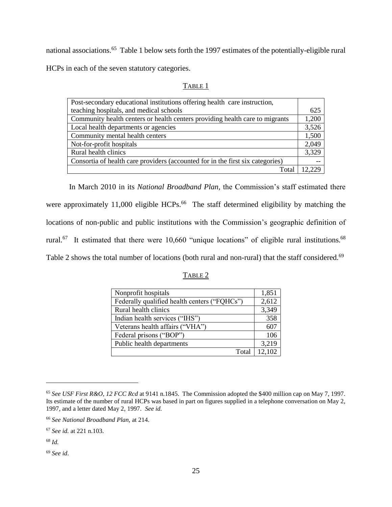national associations.<sup>65</sup> Table 1 below sets forth the 1997 estimates of the potentially-eligible rural HCPs in each of the seven statutory categories.

| Post-secondary educational institutions offering health care instruction,      |       |
|--------------------------------------------------------------------------------|-------|
| teaching hospitals, and medical schools                                        | 625   |
| Community health centers or health centers providing health care to migrants   | 1,200 |
| Local health departments or agencies                                           | 3,526 |
| Community mental health centers                                                | 1,500 |
| Not-for-profit hospitals                                                       | 2,049 |
| Rural health clinics                                                           | 3,329 |
| Consortia of health care providers (accounted for in the first six categories) |       |
| Total                                                                          | 2229  |

In March 2010 in its *National Broadband Plan,* the Commission's staff estimated there were approximately 11,000 eligible HCPs.<sup>66</sup> The staff determined eligibility by matching the locations of non-public and public institutions with the Commission's geographic definition of rural.<sup>67</sup> It estimated that there were 10,660 "unique locations" of eligible rural institutions.<sup>68</sup> Table 2 shows the total number of locations (both rural and non-rural) that the staff considered.<sup>69</sup>

| ١ΒL |
|-----|
|     |

| Nonprofit hospitals                          | 1,851  |
|----------------------------------------------|--------|
| Federally qualified health centers ("FQHCs") | 2,612  |
| Rural health clinics                         | 3,349  |
| Indian health services ("IHS")               | 358    |
| Veterans health affairs ("VHA")              | 607    |
| Federal prisons ("BOP")                      | 106    |
| Public health departments                    | 3,219  |
| Total                                        | 12.102 |

<sup>65</sup> *See USF First R&O, 12 FCC Rcd* at 9141 n.1845. The Commission adopted the \$400 million cap on May 7, 1997. Its estimate of the number of rural HCPs was based in part on figures supplied in a telephone conversation on May 2, 1997, and a letter dated May 2, 1997. *See id.*

<sup>66</sup> *See National Broadband Plan,* at 214.

<sup>67</sup> *See id.* at 221 n.103.

<sup>68</sup> *Id.*

<sup>69</sup> *See id*.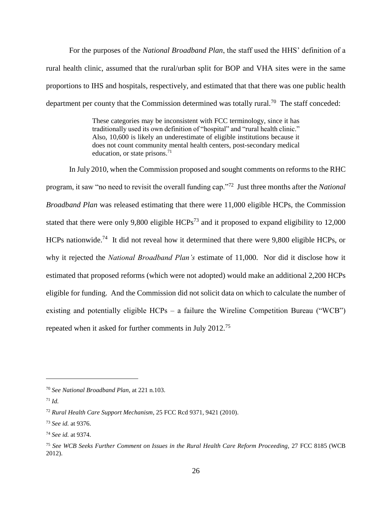For the purposes of the *National Broadband Plan*, the staff used the HHS' definition of a rural health clinic, assumed that the rural/urban split for BOP and VHA sites were in the same proportions to IHS and hospitals, respectively, and estimated that that there was one public health department per county that the Commission determined was totally rural.<sup>70</sup> The staff conceded:

> These categories may be inconsistent with FCC terminology, since it has traditionally used its own definition of "hospital" and "rural health clinic." Also, 10,600 is likely an underestimate of eligible institutions because it does not count community mental health centers, post-secondary medical education, or state prisons. $71$

In July 2010, when the Commission proposed and sought comments on reforms to the RHC program, it saw "no need to revisit the overall funding cap."<sup>72</sup> Just three months after the *National Broadband Plan* was released estimating that there were 11,000 eligible HCPs, the Commission stated that there were only 9,800 eligible  $HCPs^{73}$  and it proposed to expand eligibility to 12,000 HCPs nationwide.<sup>74</sup> It did not reveal how it determined that there were 9,800 eligible HCPs, or why it rejected the *National Broadband Plan's* estimate of 11,000. Nor did it disclose how it estimated that proposed reforms (which were not adopted) would make an additional 2,200 HCPs eligible for funding. And the Commission did not solicit data on which to calculate the number of existing and potentially eligible  $HCPs - a$  failure the Wireline Competition Bureau ("WCB") repeated when it asked for further comments in July 2012.<sup>75</sup>

<sup>70</sup> *See National Broadband Plan*, at 221 n.103.

<sup>71</sup> *Id.*

<sup>72</sup> *Rural Health Care Support Mechanism*, 25 FCC Rcd 9371, 9421 (2010).

<sup>73</sup> *See id.* at 9376.

<sup>74</sup> *See id.* at 9374.

<sup>75</sup> *See WCB Seeks Further Comment on Issues in the Rural Health Care Reform Proceeding,* 27 FCC 8185 (WCB 2012).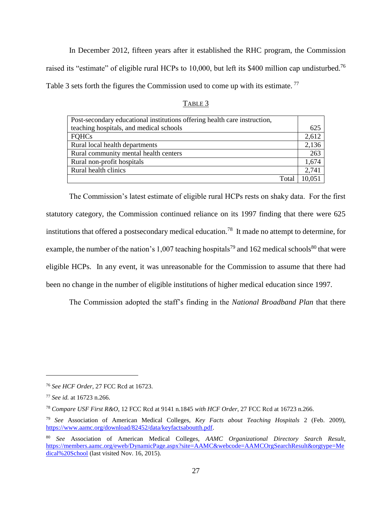In December 2012, fifteen years after it established the RHC program, the Commission raised its "estimate" of eligible rural HCPs to 10,000, but left its \$400 million cap undisturbed.<sup>76</sup> Table 3 sets forth the figures the Commission used to come up with its estimate.<sup>77</sup>

|--|

| Post-secondary educational institutions offering health care instruction, |        |
|---------------------------------------------------------------------------|--------|
| teaching hospitals, and medical schools                                   | 625    |
| <b>FOHCs</b>                                                              | 2,612  |
| Rural local health departments                                            | 2,136  |
| Rural community mental health centers                                     | 263    |
| Rural non-profit hospitals                                                | 1,674  |
| Rural health clinics                                                      | 2,741  |
| Total                                                                     | 10.051 |

The Commission's latest estimate of eligible rural HCPs rests on shaky data. For the first statutory category, the Commission continued reliance on its 1997 finding that there were 625 institutions that offered a postsecondary medical education.<sup>78</sup> It made no attempt to determine, for example, the number of the nation's 1,007 teaching hospitals<sup>79</sup> and 162 medical schools<sup>80</sup> that were eligible HCPs. In any event, it was unreasonable for the Commission to assume that there had been no change in the number of eligible institutions of higher medical education since 1997.

The Commission adopted the staff's finding in the *National Broadband Plan* that there

<sup>76</sup> *See HCF Order*, 27 FCC Rcd at 16723.

<sup>77</sup> *See id.* at 16723 n.266.

<sup>78</sup> *Compare USF First R&O*, 12 FCC Rcd at 9141 n.1845 *with HCF Order*, 27 FCC Rcd at 16723 n.266.

<sup>79</sup> *See* Association of American Medical Colleges, *Key Facts about Teaching Hospitals* 2 (Feb. 2009), [https://www.aamc.org/download/82452/data/keyfactsaboutth.pdf.](https://www.aamc.org/download/82452/data/keyfactsaboutth.pdf)

<sup>80</sup> *See* Association of American Medical Colleges, *AAMC Organizational Directory Search Result*, [https://members.aamc.org/eweb/DynamicPage.aspx?site=AAMC&webcode=AAMCOrgSearchResult&orgtype=Me](https://members.aamc.org/eweb/DynamicPage.aspx?site=AAMC&webcode=AAMCOrgSearchResult&orgtype=Medical%20School) [dical%20School](https://members.aamc.org/eweb/DynamicPage.aspx?site=AAMC&webcode=AAMCOrgSearchResult&orgtype=Medical%20School) (last visited Nov. 16, 2015).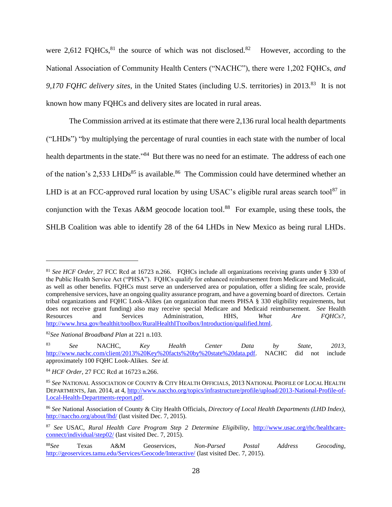<span id="page-31-0"></span>were 2,612 FQHCs, $81$  the source of which was not disclosed.  $82$  However, according to the National Association of Community Health Centers ("NACHC"), there were 1,202 FQHCs, *and*  9,170 FQHC delivery sites, in the United States (including U.S. territories) in 2013.<sup>83</sup> It is not known how many FQHCs and delivery sites are located in rural areas.

The Commission arrived at its estimate that there were 2,136 rural local health departments ("LHDs") "by multiplying the percentage of rural counties in each state with the number of local health departments in the state."<sup>84</sup> But there was no need for an estimate. The address of each one of the nation's 2,533 LHDs<sup>85</sup> is available.<sup>86</sup> The Commission could have determined whether an LHD is at an FCC-approved rural location by using USAC's eligible rural areas search tool $87$  in conjunction with the Texas A&M geocode location tool.<sup>88</sup> For example, using these tools, the SHLB Coalition was able to identify 28 of the 64 LHDs in New Mexico as being rural LHDs.

<sup>81</sup> *See HCF Order,* 27 FCC Rcd at 16723 n.266. FQHCs include all organizations receiving grants under § 330 of the Public Health Service Act ("PHSA"). FQHCs qualify for enhanced reimbursement from Medicare and Medicaid, as well as other benefits. FQHCs must serve an underserved area or population, offer a sliding fee scale, provide comprehensive services, have an ongoing quality assurance program, and have a governing board of directors. Certain tribal organizations and FQHC Look-Alikes (an organization that meets PHSA § 330 eligibility requirements, but does not receive grant funding) also may receive special Medicare and Medicaid reimbursement. *See* Health Resources and Services Administration, HHS, *What Are FQHCs?*, [http://www.hrsa.gov/healthit/toolbox/RuralHealthITtoolbox/Introduction/qualified.html.](http://www.hrsa.gov/healthit/toolbox/RuralHealthITtoolbox/Introduction/qualified.html)

<sup>82</sup>*See National Broadband Plan* at 221 n.103.

<sup>83</sup> *See* NACHC, *Key Health Center Data by State, 2013*, [http://www.nachc.com/client/2013%20Key%20facts%20by%20state%20data.pdf.](http://www.nachc.com/client/2013%20Key%20facts%20by%20state%20data.pdf) NACHC did not include approximately 100 FQHC Look-Alikes. *See id.*

<sup>84</sup> *HCF Order*, 27 FCC Rcd at 16723 n.266.

<sup>85</sup> *See* NATIONAL ASSOCIATION OF COUNTY & CITY HEALTH OFFICIALS, 2013 NATIONAL PROFILE OF LOCAL HEALTH DEPARTMENTS, Jan. 2014, at 4, [http://www.naccho.org/topics/infrastructure/profile/upload/2013-National-Profile-of-](http://www.naccho.org/topics/infrastructure/profile/upload/2013-National-Profile-of-Local-Health-Departments-report.pdf)[Local-Health-Departments-report.pdf.](http://www.naccho.org/topics/infrastructure/profile/upload/2013-National-Profile-of-Local-Health-Departments-report.pdf)

<sup>86</sup> *See* National Association of County & City Health Officials, *Directory of Local Health Departments (LHD Index),*  <http://naccho.org/about/lhd/> (last visited Dec. 7, 2015).

<sup>87</sup> *See* USAC, *Rural Health Care Program Step 2 Determine Eligibility*, [http://www.usac.org/rhc/healthcare](http://www.usac.org/rhc/healthcare-connect/individual/step02/)[connect/individual/step02/](http://www.usac.org/rhc/healthcare-connect/individual/step02/) (last visited Dec. 7, 2015).

<sup>88</sup>*See* Texas A&M Geoservices, *Non-Parsed Postal Address Geocoding,* <http://geoservices.tamu.edu/Services/Geocode/Interactive/> (last visited Dec. 7, 2015).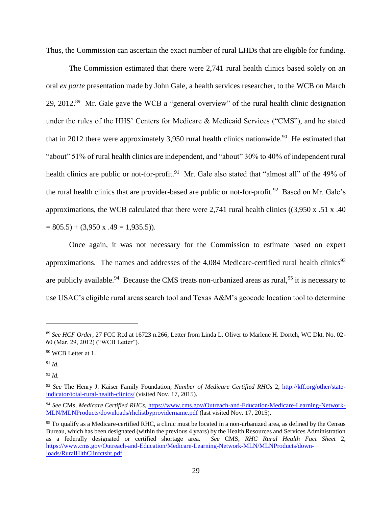Thus, the Commission can ascertain the exact number of rural LHDs that are eligible for funding.

The Commission estimated that there were 2,741 rural health clinics based solely on an oral *ex parte* presentation made by John Gale, a health services researcher, to the WCB on March 29, 2012.<sup>89</sup> Mr. Gale gave the WCB a "general overview" of the rural health clinic designation under the rules of the HHS' Centers for Medicare & Medicaid Services ("CMS"), and he stated that in 2012 there were approximately 3,950 rural health clinics nationwide.<sup>90</sup> He estimated that "about" 51% of rural health clinics are independent, and "about" 30% to 40% of independent rural health clinics are public or not-for-profit.<sup>91</sup> Mr. Gale also stated that "almost all" of the 49% of the rural health clinics that are provider-based are public or not-for-profit.<sup>92</sup> Based on Mr. Gale's approximations, the WCB calculated that there were 2,741 rural health clinics ( $(3,950 \times .51 \times .40)$ )  $= 805.5 + (3,950 \text{ x } .49 = 1,935.5)$ .

Once again, it was not necessary for the Commission to estimate based on expert approximations. The names and addresses of the 4,084 Medicare-certified rural health clinics<sup>93</sup> are publicly available.<sup>94</sup> Because the CMS treats non-urbanized areas as rural,<sup>95</sup> it is necessary to use USAC's eligible rural areas search tool and Texas A&M's geocode location tool to determine

 $\overline{a}$ 

<sup>92</sup> *Id.*

<sup>89</sup> *See HCF Order*, 27 FCC Rcd at 16723 n.266; Letter from Linda L. Oliver to Marlene H. Dortch, WC Dkt. No. 02- 60 (Mar. 29, 2012) ("WCB Letter").

<sup>90</sup> WCB Letter at 1.

<sup>91</sup> *Id.*

<sup>93</sup> *See* The Henry J. Kaiser Family Foundation, *Number of Medicare Certified RHCs* 2, [http://kff.org/other/state](http://kff.org/other/state-indicator/total-rural-health-clinics/)[indicator/total-rural-health-clinics/](http://kff.org/other/state-indicator/total-rural-health-clinics/) (visited Nov. 17, 2015).

<sup>94</sup> *See* CMs, *Medicare Certified RHCs*, [https://www.cms.gov/Outreach-and-Education/Medicare-Learning-Network-](https://www.cms.gov/Outreach-and-Education/Medicare-Learning-Network-MLN/MLNProducts/downloads/rhclistbyprovidername.pdf)[MLN/MLNProducts/downloads/rhclistbyprovidername.pdf](https://www.cms.gov/Outreach-and-Education/Medicare-Learning-Network-MLN/MLNProducts/downloads/rhclistbyprovidername.pdf) (last visited Nov. 17, 2015).

<sup>&</sup>lt;sup>95</sup> To qualify as a Medicare-certified RHC, a clinic must be located in a non-urbanized area, as defined by the Census Bureau, which has been designated (within the previous 4 years) by the Health Resources and Services Administration as a federally designated or certified shortage area. *See* CMS, *RHC Rural Health Fact Sheet* 2, [https://www.cms.gov/Outreach-and-Education/Medicare-Learning-Network-MLN/MLNProducts/down](https://www.cms.gov/Outreach-and-Education/Medicare-Learning-Network-MLN/MLNProducts/down-loads/RuralHlthClinfctsht.pdf)[loads/RuralHlthClinfctsht.pdf.](https://www.cms.gov/Outreach-and-Education/Medicare-Learning-Network-MLN/MLNProducts/down-loads/RuralHlthClinfctsht.pdf)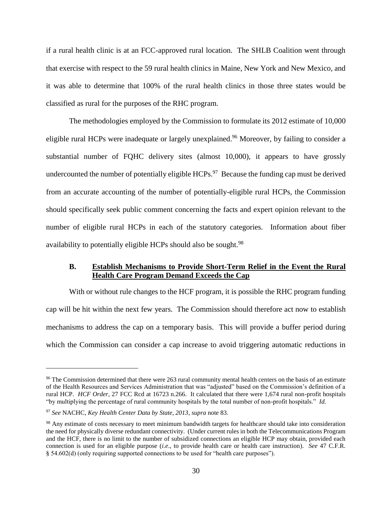if a rural health clinic is at an FCC-approved rural location. The SHLB Coalition went through that exercise with respect to the 59 rural health clinics in Maine, New York and New Mexico, and it was able to determine that 100% of the rural health clinics in those three states would be classified as rural for the purposes of the RHC program.

The methodologies employed by the Commission to formulate its 2012 estimate of 10,000 eligible rural HCPs were inadequate or largely unexplained.<sup>96</sup> Moreover, by failing to consider a substantial number of FQHC delivery sites (almost 10,000), it appears to have grossly undercounted the number of potentially eligible  $HCPs$ <sup>97</sup> Because the funding cap must be derived from an accurate accounting of the number of potentially-eligible rural HCPs, the Commission should specifically seek public comment concerning the facts and expert opinion relevant to the number of eligible rural HCPs in each of the statutory categories. Information about fiber availability to potentially eligible HCPs should also be sought.<sup>98</sup>

### <span id="page-33-0"></span>**B. Establish Mechanisms to Provide Short-Term Relief in the Event the Rural Health Care Program Demand Exceeds the Cap**

With or without rule changes to the HCF program, it is possible the RHC program funding cap will be hit within the next few years. The Commission should therefore act now to establish mechanisms to address the cap on a temporary basis. This will provide a buffer period during which the Commission can consider a cap increase to avoid triggering automatic reductions in

<sup>&</sup>lt;sup>96</sup> The Commission determined that there were 263 rural community mental health centers on the basis of an estimate of the Health Resources and Services Administration that was "adjusted" based on the Commission's definition of a rural HCP. *HCF Order*, 27 FCC Rcd at 16723 n.266. It calculated that there were 1,674 rural non-profit hospitals "by multiplying the percentage of rural community hospitals by the total number of non-profit hospitals." *Id.*

<sup>97</sup> *See* NACHC, *Key Health Center Data by State, 2013*, *supra* note [83.](#page-31-0)

<sup>&</sup>lt;sup>98</sup> Any estimate of costs necessary to meet minimum bandwidth targets for healthcare should take into consideration the need for physically diverse redundant connectivity. (Under current rules in both the Telecommunications Program and the HCF, there is no limit to the number of subsidized connections an eligible HCP may obtain, provided each connection is used for an eligible purpose (*i.e*., to provide health care or health care instruction). *See* 47 C.F.R. § 54.602(d) (only requiring supported connections to be used for "health care purposes").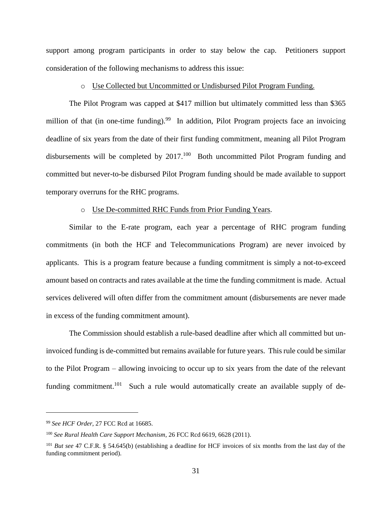support among program participants in order to stay below the cap. Petitioners support consideration of the following mechanisms to address this issue:

#### o Use Collected but Uncommitted or Undisbursed Pilot Program Funding.

The Pilot Program was capped at \$417 million but ultimately committed less than \$365 million of that (in one-time funding).<sup>99</sup> In addition, Pilot Program projects face an invoicing deadline of six years from the date of their first funding commitment, meaning all Pilot Program disbursements will be completed by  $2017$ .<sup>100</sup> Both uncommitted Pilot Program funding and committed but never-to-be disbursed Pilot Program funding should be made available to support temporary overruns for the RHC programs.

#### o Use De-committed RHC Funds from Prior Funding Years.

Similar to the E-rate program, each year a percentage of RHC program funding commitments (in both the HCF and Telecommunications Program) are never invoiced by applicants. This is a program feature because a funding commitment is simply a not-to-exceed amount based on contracts and rates available at the time the funding commitment is made. Actual services delivered will often differ from the commitment amount (disbursements are never made in excess of the funding commitment amount).

The Commission should establish a rule-based deadline after which all committed but uninvoiced funding is de-committed but remains available for future years. This rule could be similar to the Pilot Program – allowing invoicing to occur up to six years from the date of the relevant funding commitment.<sup>101</sup> Such a rule would automatically create an available supply of de-

<sup>99</sup> *See HCF Order*, 27 FCC Rcd at 16685.

<sup>100</sup> *See Rural Health Care Support Mechanism*, 26 FCC Rcd 6619, 6628 (2011).

<sup>&</sup>lt;sup>101</sup> *But see* 47 C.F.R. § 54.645(b) (establishing a deadline for HCF invoices of six months from the last day of the funding commitment period).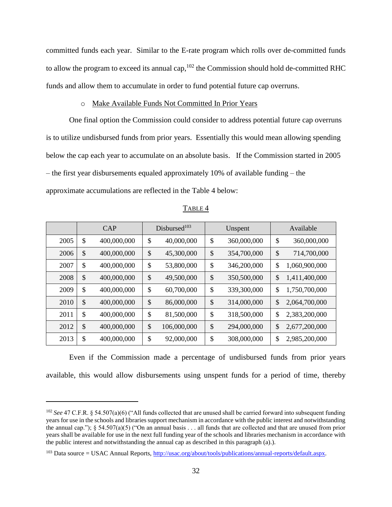committed funds each year. Similar to the E-rate program which rolls over de-committed funds to allow the program to exceed its annual cap,  $102$  the Commission should hold de-committed RHC funds and allow them to accumulate in order to fund potential future cap overruns.

#### o Make Available Funds Not Committed In Prior Years

One final option the Commission could consider to address potential future cap overruns is to utilize undisbursed funds from prior years. Essentially this would mean allowing spending below the cap each year to accumulate on an absolute basis. If the Commission started in 2005 – the first year disbursements equaled approximately 10% of available funding – the approximate accumulations are reflected in the Table 4 below:

|      | CAP |             | Disbursed <sup>103</sup> |                           | Unspent     |    | Available     |
|------|-----|-------------|--------------------------|---------------------------|-------------|----|---------------|
| 2005 | \$  | 400,000,000 | \$<br>40,000,000         | \$                        | 360,000,000 | \$ | 360,000,000   |
| 2006 | \$  | 400,000,000 | \$<br>45,300,000         | $\boldsymbol{\mathsf{S}}$ | 354,700,000 | \$ | 714,700,000   |
| 2007 | \$  | 400,000,000 | \$<br>53,800,000         | \$                        | 346,200,000 | \$ | 1,060,900,000 |
| 2008 | \$  | 400,000,000 | \$<br>49,500,000         | \$                        | 350,500,000 | \$ | 1,411,400,000 |
| 2009 | \$  | 400,000,000 | \$<br>60,700,000         | \$                        | 339,300,000 | \$ | 1,750,700,000 |
| 2010 | \$  | 400,000,000 | \$<br>86,000,000         | $\boldsymbol{\mathsf{S}}$ | 314,000,000 | \$ | 2,064,700,000 |
| 2011 | \$  | 400,000,000 | \$<br>81,500,000         | \$                        | 318,500,000 | \$ | 2,383,200,000 |
| 2012 | \$  | 400,000,000 | \$<br>106,000,000        | \$                        | 294,000,000 | \$ | 2,677,200,000 |
| 2013 | \$  | 400,000,000 | \$<br>92,000,000         | \$                        | 308,000,000 | \$ | 2,985,200,000 |

TABLE 4

Even if the Commission made a percentage of undisbursed funds from prior years available, this would allow disbursements using unspent funds for a period of time, thereby

<sup>102</sup> *See* 47 C.F.R. § 54.507(a)(6) ("All funds collected that are unused shall be carried forward into subsequent funding years for use in the schools and libraries support mechanism in accordance with the public interest and notwithstanding the annual cap.");  $§ 54.507(a)(5)$  ("On an annual basis . . . all funds that are collected and that are unused from prior years shall be available for use in the next full funding year of the schools and libraries mechanism in accordance with the public interest and notwithstanding the annual cap as described in this paragraph (a).).

<sup>&</sup>lt;sup>103</sup> Data source = USAC Annual Reports, [http://usac.org/about/tools/publications/annual-reports/default.aspx.](http://usac.org/about/tools/publications/annual-reports/default.aspx)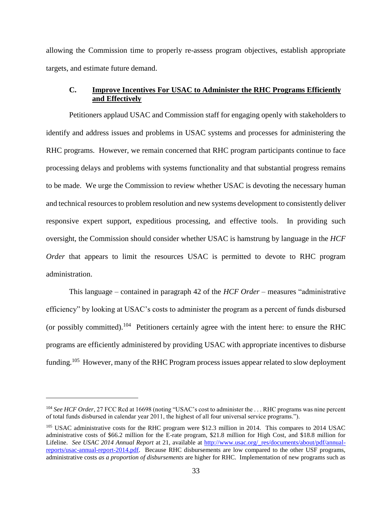allowing the Commission time to properly re-assess program objectives, establish appropriate targets, and estimate future demand.

# <span id="page-36-0"></span>**C. Improve Incentives For USAC to Administer the RHC Programs Efficiently and Effectively**

Petitioners applaud USAC and Commission staff for engaging openly with stakeholders to identify and address issues and problems in USAC systems and processes for administering the RHC programs. However, we remain concerned that RHC program participants continue to face processing delays and problems with systems functionality and that substantial progress remains to be made. We urge the Commission to review whether USAC is devoting the necessary human and technical resources to problem resolution and new systems development to consistently deliver responsive expert support, expeditious processing, and effective tools. In providing such oversight, the Commission should consider whether USAC is hamstrung by language in the *HCF Order* that appears to limit the resources USAC is permitted to devote to RHC program administration.

This language – contained in paragraph 42 of the *HCF Order* – measures "administrative efficiency" by looking at USAC's costs to administer the program as a percent of funds disbursed (or possibly committed).<sup>104</sup> Petitioners certainly agree with the intent here: to ensure the RHC programs are efficiently administered by providing USAC with appropriate incentives to disburse funding.<sup>105</sup> However, many of the RHC Program process issues appear related to slow deployment

<sup>&</sup>lt;sup>104</sup> *See HCF Order*, 27 FCC Rcd at 16698 (noting "USAC's cost to administer the ... RHC programs was nine percent of total funds disbursed in calendar year 2011, the highest of all four universal service programs.").

<sup>&</sup>lt;sup>105</sup> USAC administrative costs for the RHC program were \$12.3 million in 2014. This compares to 2014 USAC administrative costs of \$66.2 million for the E-rate program, \$21.8 million for High Cost, and \$18.8 million for Lifeline. *See USAC 2014 Annual Report* at 21, available at [http://www.usac.org/\\_res/documents/about/pdf/annual](http://www.usac.org/_res/documents/about/pdf/annual-reports/usac-annual-report-2014.pdf)[reports/usac-annual-report-2014.pdf.](http://www.usac.org/_res/documents/about/pdf/annual-reports/usac-annual-report-2014.pdf) Because RHC disbursements are low compared to the other USF programs, administrative costs *as a proportion of disbursements* are higher for RHC. Implementation of new programs such as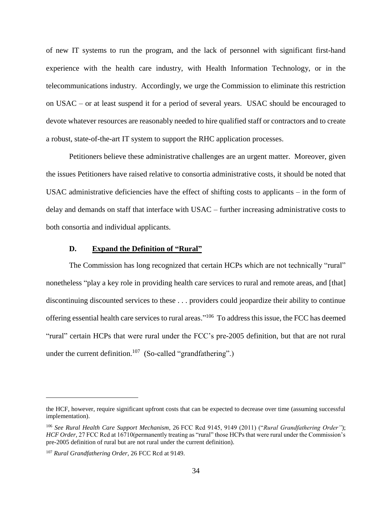of new IT systems to run the program, and the lack of personnel with significant first-hand experience with the health care industry, with Health Information Technology, or in the telecommunications industry. Accordingly, we urge the Commission to eliminate this restriction on USAC – or at least suspend it for a period of several years. USAC should be encouraged to devote whatever resources are reasonably needed to hire qualified staff or contractors and to create a robust, state-of-the-art IT system to support the RHC application processes.

Petitioners believe these administrative challenges are an urgent matter. Moreover, given the issues Petitioners have raised relative to consortia administrative costs, it should be noted that USAC administrative deficiencies have the effect of shifting costs to applicants – in the form of delay and demands on staff that interface with USAC – further increasing administrative costs to both consortia and individual applicants.

#### **D. Expand the Definition of "Rural"**

<span id="page-37-0"></span>The Commission has long recognized that certain HCPs which are not technically "rural" nonetheless "play a key role in providing health care services to rural and remote areas, and [that] discontinuing discounted services to these . . . providers could jeopardize their ability to continue offering essential health care services to rural areas."<sup>106</sup> To address this issue, the FCC has deemed "rural" certain HCPs that were rural under the FCC's pre-2005 definition, but that are not rural under the current definition.<sup>107</sup> (So-called "grandfathering".)

the HCF, however, require significant upfront costs that can be expected to decrease over time (assuming successful implementation).

<sup>106</sup> *See Rural Health Care Support Mechanism*, 26 FCC Rcd 9145, 9149 (2011) ("*Rural Grandfathering Order"*); *HCF Order, 27 FCC Rcd at 16710(permanently treating as "rural" those HCPs that were rural under the Commission's* pre-2005 definition of rural but are not rural under the current definition).

<sup>107</sup> *Rural Grandfathering Order,* 26 FCC Rcd at 9149.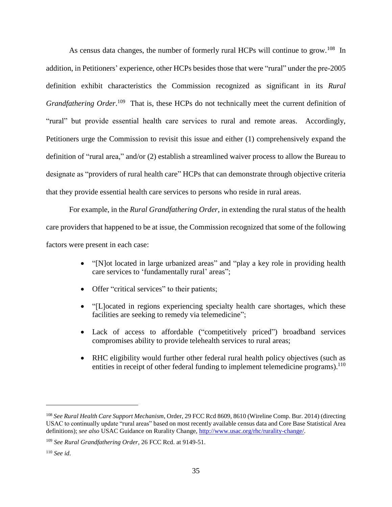As census data changes, the number of formerly rural HCPs will continue to grow.<sup>108</sup> In addition, in Petitioners' experience, other HCPs besides those that were "rural" under the pre-2005 definition exhibit characteristics the Commission recognized as significant in its *Rural* Grandfathering Order.<sup>109</sup> That is, these HCPs do not technically meet the current definition of "rural" but provide essential health care services to rural and remote areas. Accordingly, Petitioners urge the Commission to revisit this issue and either (1) comprehensively expand the definition of "rural area," and/or (2) establish a streamlined waiver process to allow the Bureau to designate as "providers of rural health care" HCPs that can demonstrate through objective criteria that they provide essential health care services to persons who reside in rural areas.

For example, in the *Rural Grandfathering Order*, in extending the rural status of the health care providers that happened to be at issue, the Commission recognized that some of the following factors were present in each case:

- "[N]ot located in large urbanized areas" and "play a key role in providing health care services to 'fundamentally rural' areas";
- Offer "critical services" to their patients;
- "[L]ocated in regions experiencing specialty health care shortages, which these facilities are seeking to remedy via telemedicine";
- Lack of access to affordable ("competitively priced") broadband services compromises ability to provide telehealth services to rural areas;
- RHC eligibility would further other federal rural health policy objectives (such as entities in receipt of other federal funding to implement telemedicine programs).<sup>110</sup>

<sup>108</sup> *See Rural Health Care Support Mechanism*, Order, 29 FCC Rcd 8609, 8610 (Wireline Comp. Bur. 2014) (directing USAC to continually update "rural areas" based on most recently available census data and Core Base Statistical Area definitions); *see also* USAC Guidance on Rurality Change, [http://www.usac.org/rhc/rurality-change/.](http://www.usac.org/rhc/rurality-change/)

<sup>109</sup> *See Rural Grandfathering Order,* 26 FCC Rcd. at 9149-51.

<sup>110</sup> *See id*.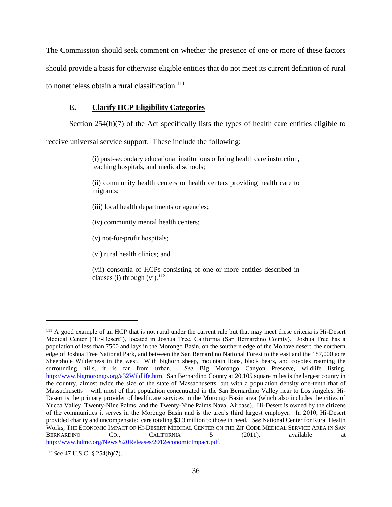The Commission should seek comment on whether the presence of one or more of these factors should provide a basis for otherwise eligible entities that do not meet its current definition of rural to nonetheless obtain a rural classification.<sup>111</sup>

# <span id="page-39-0"></span>**E. Clarify HCP Eligibility Categories**

Section  $254(h)(7)$  of the Act specifically lists the types of health care entities eligible to

receive universal service support. These include the following:

(i) post-secondary educational institutions offering health care instruction, teaching hospitals, and medical schools;

(ii) community health centers or health centers providing health care to migrants;

- (iii) local health departments or agencies;
- (iv) community mental health centers;

(v) not-for-profit hospitals;

(vi) rural health clinics; and

(vii) consortia of HCPs consisting of one or more entities described in clauses (i) through  $(vi)$ .<sup>112</sup>

<sup>&</sup>lt;sup>111</sup> A good example of an HCP that is not rural under the current rule but that may meet these criteria is Hi-Desert Medical Center ("Hi-Desert"), located in Joshua Tree, California (San Bernardino County). Joshua Tree has a population of less than 7500 and lays in the Morongo Basin, on the southern edge of the Mohave desert, the northern edge of Joshua Tree National Park, and between the San Bernardino National Forest to the east and the 187,000 acre Sheephole Wilderness in the west. With bighorn sheep, mountain lions, black bears, and coyotes roaming the surrounding hills, it is far from urban. *See* Big Morongo Canyon Preserve, wildlife listing, [http://www.bigmorongo.org/a32Wildlife.htm.](http://www.bigmorongo.org/a32Wildlife.htm) San Bernardino County at 20,105 square miles is the largest county in the country, almost twice the size of the state of Massachusetts, but with a population density one-tenth that of Massachusetts – with most of that population concentrated in the San Bernardino Valley near to Los Angeles. Hi-Desert is the primary provider of healthcare services in the Morongo Basin area (which also includes the cities of Yucca Valley, Twenty-Nine Palms, and the Twenty-Nine Palms Naval Airbase). Hi-Desert is owned by the citizens of the communities it serves in the Morongo Basin and is the area's third largest employer. In 2010, Hi-Desert provided charity and uncompensated care totaling \$3.3 million to those in need. *See* National Center for Rural Health Works*,* THE ECONOMIC IMPACT OF HI-DESERT MEDICAL CENTER ON THE ZIP CODE MEDICAL SERVICE AREA IN SAN BERNARDINO CO., CALIFORNIA 5 (2011), available at [http://www.hdmc.org/News%20Releases/2012economicImpact.pdf.](http://www.hdmc.org/News%20Releases/2012economicImpact.pdf)

<sup>112</sup> *See* 47 U.S.C. § 254(h)(7).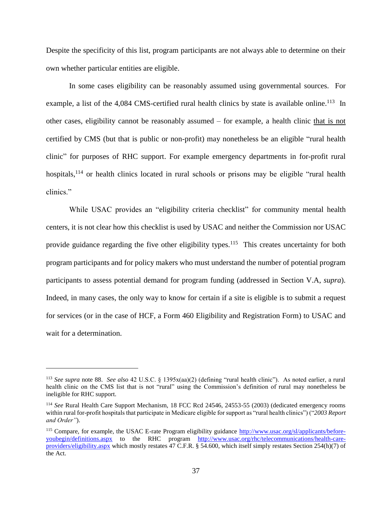Despite the specificity of this list, program participants are not always able to determine on their own whether particular entities are eligible.

In some cases eligibility can be reasonably assumed using governmental sources. For example, a list of the 4,084 CMS-certified rural health clinics by state is available online.<sup>113</sup> In other cases, eligibility cannot be reasonably assumed – for example, a health clinic that is not certified by CMS (but that is public or non-profit) may nonetheless be an eligible "rural health clinic" for purposes of RHC support. For example emergency departments in for-profit rural hospitals,<sup>114</sup> or health clinics located in rural schools or prisons may be eligible "rural health" clinics."

While USAC provides an "eligibility criteria checklist" for community mental health centers, it is not clear how this checklist is used by USAC and neither the Commission nor USAC provide guidance regarding the five other eligibility types.<sup>115</sup> This creates uncertainty for both program participants and for policy makers who must understand the number of potential program participants to assess potential demand for program funding (addressed in Section V.A, *supra*). Indeed, in many cases, the only way to know for certain if a site is eligible is to submit a request for services (or in the case of HCF, a Form 460 Eligibility and Registration Form) to USAC and wait for a determination.

<sup>113</sup> *See supra* note 88. *See also* 42 U.S.C. § 1395x(aa)(2) (defining "rural health clinic"). As noted earlier, a rural health clinic on the CMS list that is not "rural" using the Commission's definition of rural may nonetheless be ineligible for RHC support.

<sup>114</sup> *See* Rural Health Care Support Mechanism, 18 FCC Rcd 24546, 24553-55 (2003) (dedicated emergency rooms within rural for-profit hospitals that participate in Medicare eligible for support as "rural health clinics") ("*2003 Report and Order"*).

<sup>&</sup>lt;sup>115</sup> Compare, for example, the USAC E-rate Program eligibility guidance [http://www.usac.org/sl/applicants/before](http://www.usac.org/sl/applicants/before-youbegin/definitions.aspx)[youbegin/definitions.aspx](http://www.usac.org/sl/applicants/before-youbegin/definitions.aspx) to the RHC program [http://www.usac.org/rhc/telecommunications/health-care](http://www.usac.org/rhc/telecommunications/health-care-providers/eligibility.aspx)[providers/eligibility.aspx](http://www.usac.org/rhc/telecommunications/health-care-providers/eligibility.aspx) which mostly restates 47 C.F.R. § 54.600, which itself simply restates Section 254(h)(7) of the Act.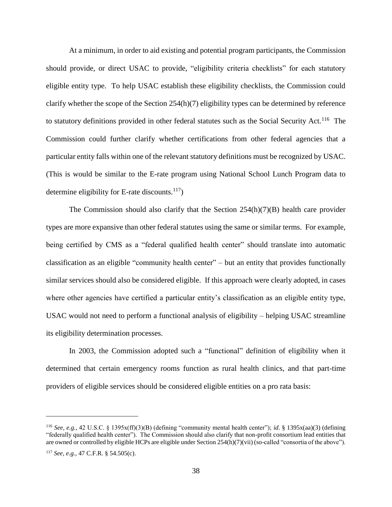At a minimum, in order to aid existing and potential program participants, the Commission should provide, or direct USAC to provide, "eligibility criteria checklists" for each statutory eligible entity type. To help USAC establish these eligibility checklists, the Commission could clarify whether the scope of the Section 254(h)(7) eligibility types can be determined by reference to statutory definitions provided in other federal statutes such as the Social Security Act.<sup>116</sup> The Commission could further clarify whether certifications from other federal agencies that a particular entity falls within one of the relevant statutory definitions must be recognized by USAC. (This is would be similar to the E-rate program using National School Lunch Program data to determine eligibility for E-rate discounts. $117$ )

The Commission should also clarify that the Section  $254(h)(7)(B)$  health care provider types are more expansive than other federal statutes using the same or similar terms. For example, being certified by CMS as a "federal qualified health center" should translate into automatic classification as an eligible "community health center" – but an entity that provides functionally similar services should also be considered eligible. If this approach were clearly adopted, in cases where other agencies have certified a particular entity's classification as an eligible entity type, USAC would not need to perform a functional analysis of eligibility – helping USAC streamline its eligibility determination processes.

In 2003, the Commission adopted such a "functional" definition of eligibility when it determined that certain emergency rooms function as rural health clinics, and that part-time providers of eligible services should be considered eligible entities on a pro rata basis:

<sup>116</sup> *See, e.g.,* 42 U.S.C. § 1395x(ff)(3)(B) (defining "community mental health center"); *id*. § 1395x(aa)(3) (defining "federally qualified health center"). The Commission should also clarify that non-profit consortium lead entities that are owned or controlled by eligible HCPs are eligible under Section 254(h)(7)(vii) (so-called "consortia of the above").

<sup>117</sup> *See, e.g.,* 47 C.F.R. § 54.505(c).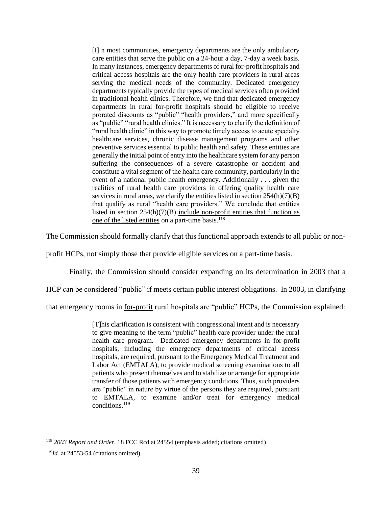[I] n most communities, emergency departments are the only ambulatory care entities that serve the public on a 24-hour a day, 7-day a week basis. In many instances, emergency departments of rural for-profit hospitals and critical access hospitals are the only health care providers in rural areas serving the medical needs of the community. Dedicated emergency departments typically provide the types of medical services often provided in traditional health clinics. Therefore, we find that dedicated emergency departments in rural for-profit hospitals should be eligible to receive prorated discounts as "public" "health providers," and more specifically as "public" "rural health clinics." It is necessary to clarify the definition of "rural health clinic" in this way to promote timely access to acute specialty healthcare services, chronic disease management programs and other preventive services essential to public health and safety. These entities are generally the initial point of entry into the healthcare system for any person suffering the consequences of a severe catastrophe or accident and constitute a vital segment of the health care community, particularly in the event of a national public health emergency. Additionally . . . given the realities of rural health care providers in offering quality health care services in rural areas, we clarify the entities listed in section  $254(h)(7)(B)$ that qualify as rural "health care providers." We conclude that entities listed in section  $254(h)(7)(B)$  include non-profit entities that function as one of the listed entities on a part-time basis.<sup>118</sup>

The Commission should formally clarify that this functional approach extends to all public or non-

profit HCPs, not simply those that provide eligible services on a part-time basis.

Finally, the Commission should consider expanding on its determination in 2003 that a

HCP can be considered "public" if meets certain public interest obligations. In 2003, in clarifying

that emergency rooms in for-profit rural hospitals are "public" HCPs, the Commission explained:

[T]his clarification is consistent with congressional intent and is necessary to give meaning to the term "public" health care provider under the rural health care program. Dedicated emergency departments in for-profit hospitals, including the emergency departments of critical access hospitals, are required, pursuant to the Emergency Medical Treatment and Labor Act (EMTALA), to provide medical screening examinations to all patients who present themselves and to stabilize or arrange for appropriate transfer of those patients with emergency conditions. Thus, such providers are "public" in nature by virtue of the persons they are required, pursuant to EMTALA, to examine and/or treat for emergency medical conditions.<sup>119</sup>

<sup>118</sup> *2003 Report and Order*, 18 FCC Rcd at 24554 (emphasis added; citations omitted)

<sup>119</sup>*Id.* at 24553-54 (citations omitted).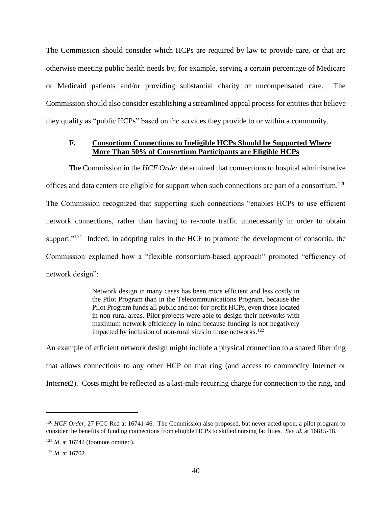The Commission should consider which HCPs are required by law to provide care, or that are otherwise meeting public health needs by, for example, serving a certain percentage of Medicare or Medicaid patients and/or providing substantial charity or uncompensated care. The Commission should also consider establishing a streamlined appeal process for entities that believe they qualify as "public HCPs" based on the services they provide to or within a community.

### <span id="page-43-0"></span>**F. Consortium Connections to Ineligible HCPs Should be Supported Where More Than 50% of Consortium Participants are Eligible HCPs**

The Commission in the *HCF Order* determined that connections to hospital administrative offices and data centers are eligible for support when such connections are part of a consortium.<sup>120</sup> The Commission recognized that supporting such connections "enables HCPs to use efficient network connections, rather than having to re-route traffic unnecessarily in order to obtain support." $121$  Indeed, in adopting rules in the HCF to promote the development of consortia, the Commission explained how a "flexible consortium-based approach" promoted "efficiency of network design":

> Network design in many cases has been more efficient and less costly in the Pilot Program than in the Telecommunications Program, because the Pilot Program funds all public and not-for-profit HCPs, even those located in non-rural areas. Pilot projects were able to design their networks with maximum network efficiency in mind because funding is not negatively impacted by inclusion of non-rural sites in those networks.<sup>122</sup>

An example of efficient network design might include a physical connection to a shared fiber ring that allows connections to any other HCP on that ring (and access to commodity Internet or Internet2). Costs might be reflected as a last-mile recurring charge for connection to the ring, and

<sup>&</sup>lt;sup>120</sup> *HCF Order*, 27 FCC Rcd at 16741-46. The Commission also proposed, but never acted upon, a pilot program to consider the benefits of funding connections from eligible HCPs to skilled nursing facilities. *See id.* at 16815-18.

<sup>&</sup>lt;sup>121</sup> *Id.* at 16742 (footnote omitted).

<sup>122</sup> *Id.* at 16702.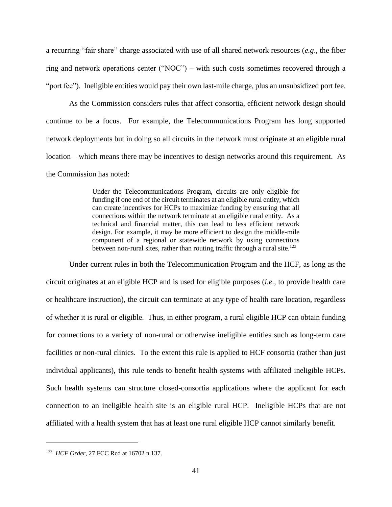a recurring "fair share" charge associated with use of all shared network resources (*e.g*., the fiber ring and network operations center ("NOC") – with such costs sometimes recovered through a "port fee"). Ineligible entities would pay their own last-mile charge, plus an unsubsidized port fee.

As the Commission considers rules that affect consortia, efficient network design should continue to be a focus. For example, the Telecommunications Program has long supported network deployments but in doing so all circuits in the network must originate at an eligible rural location – which means there may be incentives to design networks around this requirement. As the Commission has noted:

> Under the Telecommunications Program, circuits are only eligible for funding if one end of the circuit terminates at an eligible rural entity, which can create incentives for HCPs to maximize funding by ensuring that all connections within the network terminate at an eligible rural entity. As a technical and financial matter, this can lead to less efficient network design. For example, it may be more efficient to design the middle-mile component of a regional or statewide network by using connections between non-rural sites, rather than routing traffic through a rural site.<sup>123</sup>

Under current rules in both the Telecommunication Program and the HCF, as long as the circuit originates at an eligible HCP and is used for eligible purposes (*i.e*., to provide health care or healthcare instruction), the circuit can terminate at any type of health care location, regardless of whether it is rural or eligible. Thus, in either program, a rural eligible HCP can obtain funding for connections to a variety of non-rural or otherwise ineligible entities such as long-term care facilities or non-rural clinics. To the extent this rule is applied to HCF consortia (rather than just individual applicants), this rule tends to benefit health systems with affiliated ineligible HCPs. Such health systems can structure closed-consortia applications where the applicant for each connection to an ineligible health site is an eligible rural HCP. Ineligible HCPs that are not affiliated with a health system that has at least one rural eligible HCP cannot similarly benefit.

<sup>123</sup> *HCF Order*, 27 FCC Rcd at 16702 n.137.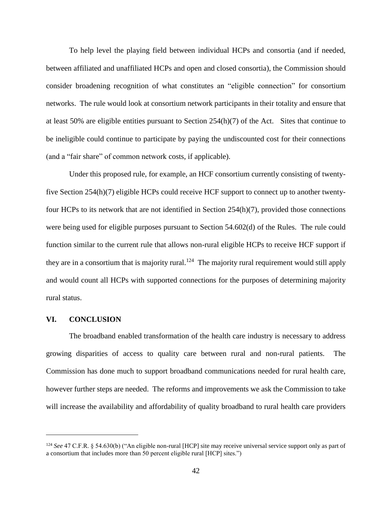To help level the playing field between individual HCPs and consortia (and if needed, between affiliated and unaffiliated HCPs and open and closed consortia), the Commission should consider broadening recognition of what constitutes an "eligible connection" for consortium networks. The rule would look at consortium network participants in their totality and ensure that at least 50% are eligible entities pursuant to Section 254(h)(7) of the Act. Sites that continue to be ineligible could continue to participate by paying the undiscounted cost for their connections (and a "fair share" of common network costs, if applicable).

Under this proposed rule, for example, an HCF consortium currently consisting of twentyfive Section 254(h)(7) eligible HCPs could receive HCF support to connect up to another twentyfour HCPs to its network that are not identified in Section  $254(h)(7)$ , provided those connections were being used for eligible purposes pursuant to Section 54.602(d) of the Rules. The rule could function similar to the current rule that allows non-rural eligible HCPs to receive HCF support if they are in a consortium that is majority rural.<sup>124</sup> The majority rural requirement would still apply and would count all HCPs with supported connections for the purposes of determining majority rural status.

#### <span id="page-45-0"></span>**VI. CONCLUSION**

 $\overline{a}$ 

The broadband enabled transformation of the health care industry is necessary to address growing disparities of access to quality care between rural and non-rural patients. The Commission has done much to support broadband communications needed for rural health care, however further steps are needed. The reforms and improvements we ask the Commission to take will increase the availability and affordability of quality broadband to rural health care providers

<sup>124</sup> *See* 47 C.F.R. § 54.630(b) ("An eligible non-rural [HCP] site may receive universal service support only as part of a consortium that includes more than 50 percent eligible rural [HCP] sites.")